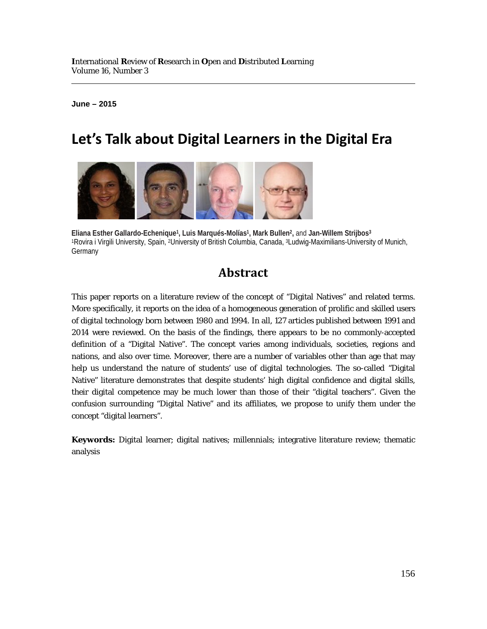**June – 2015**

# **Let's Talk about Digital Learners in the Digital Era**



**Eliana Esther Gallardo-Echenique1, Luis Marqués-Molías1, Mark Bullen2,** and **Jan-Willem Strijbos3** 1Rovira i Virgili University, Spain, 2University of British Columbia, Canada, 3Ludwig-Maximilians-University of Munich, Germany

### **Abstract**

This paper reports on a literature review of the concept of "Digital Natives" and related terms. More specifically, it reports on the idea of a homogeneous generation of prolific and skilled users of digital technology born between 1980 and 1994. In all, 127 articles published between 1991 and 2014 were reviewed. On the basis of the findings, there appears to be no commonly-accepted definition of a "Digital Native". The concept varies among individuals, societies, regions and nations, and also over time. Moreover, there are a number of variables other than age that may help us understand the nature of students' use of digital technologies. The so-called "Digital Native" literature demonstrates that despite students' high digital confidence and digital skills, their digital competence may be much lower than those of their "digital teachers". Given the confusion surrounding "Digital Native" and its affiliates, we propose to unify them under the concept "digital learners".

**Keywords:** Digital learner; digital natives; millennials; integrative literature review; thematic analysis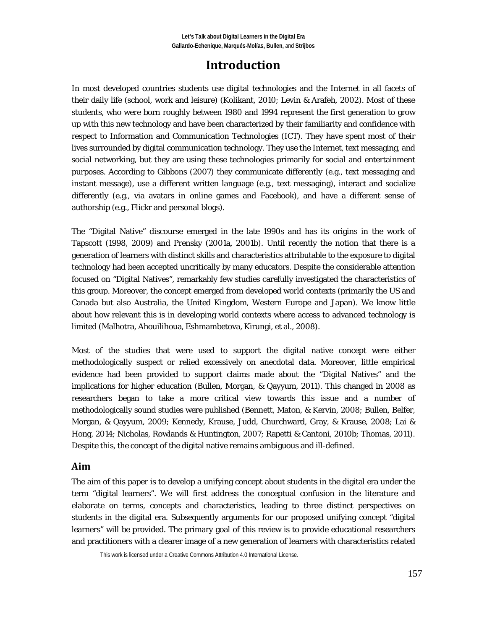### **Introduction**

In most developed countries students use digital technologies and the Internet in all facets of their daily life (school, work and leisure) (Kolikant, 2010; Levin & Arafeh, 2002). Most of these students, who were born roughly between 1980 and 1994 represent the first generation to grow up with this new technology and have been characterized by their familiarity and confidence with respect to Information and Communication Technologies (ICT). They have spent most of their lives surrounded by digital communication technology. They use the Internet, text messaging, and social networking, but they are using these technologies primarily for social and entertainment purposes. According to Gibbons (2007) they communicate differently (e.g., text messaging and instant message), use a different written language (e.g., text messaging), interact and socialize differently (e.g., via avatars in online games and Facebook), and have a different sense of authorship (e.g., Flickr and personal blogs).

The "Digital Native" discourse emerged in the late 1990s and has its origins in the work of Tapscott (1998, 2009) and Prensky (2001a, 2001b). Until recently the notion that there is a generation of learners with distinct skills and characteristics attributable to the exposure to digital technology had been accepted uncritically by many educators. Despite the considerable attention focused on "Digital Natives", remarkably few studies carefully investigated the characteristics of this group. Moreover, the concept emerged from developed world contexts (primarily the US and Canada but also Australia, the United Kingdom, Western Europe and Japan). We know little about how relevant this is in developing world contexts where access to advanced technology is limited (Malhotra, Ahouilihoua, Eshmambetova, Kirungi, et al., 2008).

Most of the studies that were used to support the digital native concept were either methodologically suspect or relied excessively on anecdotal data. Moreover, little empirical evidence had been provided to support claims made about the "Digital Natives" and the implications for higher education (Bullen, Morgan, & Qayyum, 2011). This changed in 2008 as researchers began to take a more critical view towards this issue and a number of methodologically sound studies were published (Bennett, Maton, & Kervin, 2008; Bullen, Belfer, Morgan, & Qayyum, 2009; Kennedy, Krause, Judd, Churchward, Gray, & Krause, 2008; Lai & Hong, 2014; Nicholas, Rowlands & Huntington, 2007; Rapetti & Cantoni, 2010b; Thomas, 2011). Despite this, the concept of the digital native remains ambiguous and ill-defined.

### **Aim**

The aim of this paper is to develop a unifying concept about students in the digital era under the term "digital learners". We will first address the conceptual confusion in the literature and elaborate on terms, concepts and characteristics, leading to three distinct perspectives on students in the digital era. Subsequently arguments for our proposed unifying concept "digital learners" will be provided. The primary goal of this review is to provide educational researchers and practitioners with a clearer image of a new generation of learners with characteristics related

This work is licensed under [a Creative Commons Attribution 4.0 International License.](http://creativecommons.org/licenses/by/4.0/)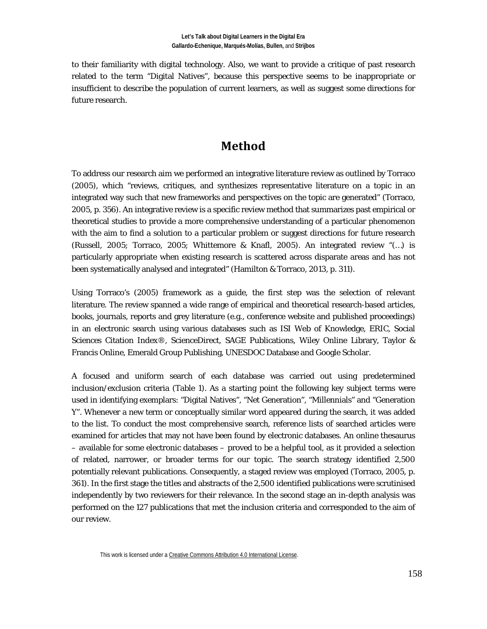to their familiarity with digital technology. Also, we want to provide a critique of past research related to the term "Digital Natives", because this perspective seems to be inappropriate or insufficient to describe the population of current learners, as well as suggest some directions for future research.

### **Method**

To address our research aim we performed an integrative literature review as outlined by Torraco (2005), which "reviews, critiques, and synthesizes representative literature on a topic in an integrated way such that new frameworks and perspectives on the topic are generated" (Torraco, 2005, p. 356). An integrative review is a specific review method that summarizes past empirical or theoretical studies to provide a more comprehensive understanding of a particular phenomenon with the aim to find a solution to a particular problem or suggest directions for future research (Russell, 2005; Torraco, 2005; Whittemore & Knafl, 2005). An integrated review "(…) is particularly appropriate when existing research is scattered across disparate areas and has not been systematically analysed and integrated" (Hamilton & Torraco, 2013, p. 311).

Using Torraco's (2005) framework as a guide, the first step was the selection of relevant literature. The review spanned a wide range of empirical and theoretical research-based articles, books, journals, reports and grey literature (e.g., conference website and published proceedings) in an electronic search using various databases such as ISI Web of Knowledge, ERIC, Social Sciences Citation Index®, ScienceDirect, SAGE Publications, Wiley Online Library, Taylor & Francis Online, Emerald Group Publishing, UNESDOC Database and Google Scholar.

A focused and uniform search of each database was carried out using predetermined inclusion/exclusion criteria (Table 1). As a starting point the following key subject terms were used in identifying exemplars: "Digital Natives", "Net Generation", "Millennials" and "Generation Y". Whenever a new term or conceptually similar word appeared during the search, it was added to the list. To conduct the most comprehensive search, reference lists of searched articles were examined for articles that may not have been found by electronic databases. An online thesaurus – available for some electronic databases – proved to be a helpful tool, as it provided a selection of related, narrower, or broader terms for our topic. The search strategy identified 2,500 potentially relevant publications. Consequently, a staged review was employed (Torraco, 2005, p. 361). In the first stage the titles and abstracts of the 2,500 identified publications were scrutinised independently by two reviewers for their relevance. In the second stage an in-depth analysis was performed on the 127 publications that met the inclusion criteria and corresponded to the aim of our review.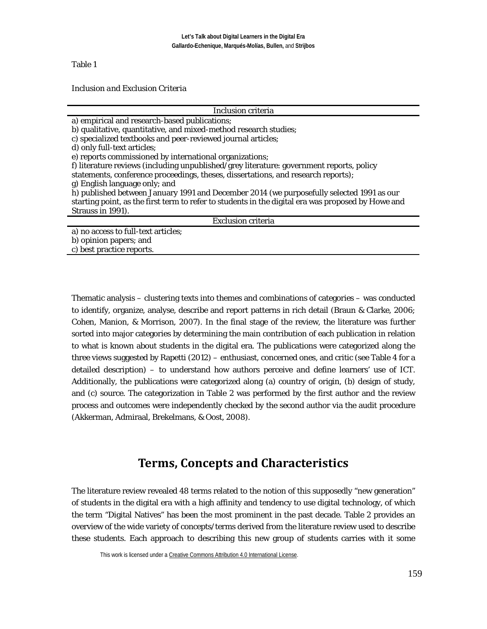Table 1

*Inclusion and Exclusion Criteria*

| Inclusion criteria                                                                                 |
|----------------------------------------------------------------------------------------------------|
| a) empirical and research-based publications;                                                      |
| b) qualitative, quantitative, and mixed-method research studies;                                   |
| c) specialized textbooks and peer-reviewed journal articles;                                       |
| d) only full-text articles;                                                                        |
| e) reports commissioned by international organizations;                                            |
| f) literature reviews (including unpublished/grey literature: government reports, policy           |
| statements, conference proceedings, theses, dissertations, and research reports);                  |
| g) English language only; and                                                                      |
| h) published between January 1991 and December 2014 (we purposefully selected 1991 as our          |
| starting point, as the first term to refer to students in the digital era was proposed by Howe and |
| Strauss in 1991).                                                                                  |
| <b>Exclusion criteria</b>                                                                          |
| a) no access to full-text articles;                                                                |
| b) opinion papers; and                                                                             |
| c) best practice reports.                                                                          |

Thematic analysis – clustering texts into themes and combinations of categories – was conducted to identify, organize, analyse, describe and report patterns in rich detail (Braun & Clarke, 2006; Cohen, Manion, & Morrison, 2007). In the final stage of the review, the literature was further sorted into major categories by determining the main contribution of each publication in relation to what is known about students in the digital era. The publications were categorized along the three views suggested by Rapetti (2012) – enthusiast, concerned ones, and critic (see Table 4 for a detailed description) – to understand how authors perceive and define learners' use of ICT. Additionally, the publications were categorized along (a) country of origin, (b) design of study, and (c) source. The categorization in Table 2 was performed by the first author and the review process and outcomes were independently checked by the second author via the audit procedure (Akkerman, Admiraal, Brekelmans, & Oost, 2008).

### **Terms, Concepts and Characteristics**

The literature review revealed 48 terms related to the notion of this supposedly "new generation" of students in the digital era with a high affinity and tendency to use digital technology, of which the term "Digital Natives" has been the most prominent in the past decade. Table 2 provides an overview of the wide variety of concepts/terms derived from the literature review used to describe these students. Each approach to describing this new group of students carries with it some

This work is licensed under [a Creative Commons Attribution 4.0 International License.](http://creativecommons.org/licenses/by/4.0/)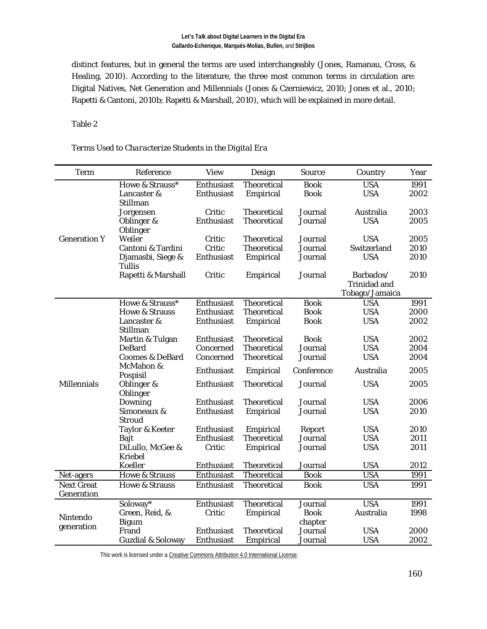distinct features, but in general the terms are used interchangeably (Jones, Ramanau, Cross, & Healing, 2010). According to the literature, the three most common terms in circulation are: Digital Natives, Net Generation and Millennials (Jones & Czerniewicz, 2010; Jones et al., 2010; Rapetti & Cantoni, 2010b; Rapetti & Marshall, 2010), which will be explained in more detail.

#### Table 2

#### *Terms Used to Characterize Students in the Digital Era*

| <b>Term</b>         | Reference                                    | <b>View</b>       | Design             | <b>Source</b> | Country                  | Year |
|---------------------|----------------------------------------------|-------------------|--------------------|---------------|--------------------------|------|
|                     | Howe & Strauss*                              | Enthusiast        | <b>Theoretical</b> | <b>Book</b>   | <b>USA</b>               | 1991 |
|                     | Lancaster &                                  | Enthusiast        | Empirical          | <b>Book</b>   | <b>USA</b>               | 2002 |
|                     | <b>Stillman</b>                              |                   |                    |               |                          |      |
|                     | Jorgensen                                    | Critic            | <b>Theoretical</b> | Journal       | Australia                | 2003 |
|                     | Oblinger &                                   | <b>Enthusiast</b> | <b>Theoretical</b> | Journal       | <b>USA</b>               | 2005 |
|                     | Oblinger                                     |                   |                    |               |                          |      |
| <b>Generation Y</b> | Weiler                                       | Critic            | <b>Theoretical</b> | Journal       | <b>USA</b>               | 2005 |
|                     | Cantoni & Tardini                            | Critic            | <b>Theoretical</b> | Journal       | Switzerland              | 2010 |
|                     | Djamasbi, Siege &                            | Enthusiast        | Empirical          | Journal       | <b>USA</b>               | 2010 |
|                     | <b>Tullis</b>                                |                   |                    |               |                          |      |
|                     | Rapetti & Marshall                           | Critic            | Empirical          | Journal       | Barbados/                | 2010 |
|                     |                                              |                   |                    |               | <b>Trinidad and</b>      |      |
|                     |                                              |                   |                    |               | Tobago/Jamaica           |      |
|                     | Howe & Strauss*<br><b>Howe &amp; Strauss</b> | <b>Enthusiast</b> | Theoretical        | <b>Book</b>   | <b>USA</b>               | 1991 |
|                     |                                              | Enthusiast        | <b>Theoretical</b> | <b>Book</b>   | <b>USA</b><br><b>USA</b> | 2000 |
|                     | Lancaster &<br><b>Stillman</b>               | Enthusiast        | Empirical          | <b>Book</b>   |                          | 2002 |
|                     | Martin & Tulgan                              | <b>Enthusiast</b> | <b>Theoretical</b> | <b>Book</b>   | <b>USA</b>               | 2002 |
|                     | <b>DeBard</b>                                | Concerned         | <b>Theoretical</b> | Journal       | <b>USA</b>               | 2004 |
|                     | <b>Coomes &amp; DeBard</b>                   | Concerned         | <b>Theoretical</b> | Journal       | <b>USA</b>               | 2004 |
|                     | McMahon &                                    |                   |                    |               |                          |      |
|                     | Pospisil                                     | Enthusiast        | Empirical          | Conference    | Australia                | 2005 |
| <b>Millennials</b>  | Oblinger &                                   | Enthusiast        | <b>Theoretical</b> | Journal       | <b>USA</b>               | 2005 |
|                     | Oblinger                                     |                   |                    |               |                          |      |
|                     | Downing                                      | Enthusiast        | <b>Theoretical</b> | Journal       | <b>USA</b>               | 2006 |
|                     | Simoneaux &                                  | Enthusiast        | Empirical          | Journal       | <b>USA</b>               | 2010 |
|                     | Stroud                                       |                   |                    |               |                          |      |
|                     | Taylor & Keeter                              | Enthusiast        | Empirical          | Report        | <b>USA</b>               | 2010 |
|                     | Bajt                                         | Enthusiast        | <b>Theoretical</b> | Journal       | <b>USA</b>               | 2011 |
|                     | DiLullo, McGee &                             | Critic            | Empirical          | Journal       | <b>USA</b>               | 2011 |
|                     | <b>Kriebel</b>                               |                   |                    |               |                          |      |
|                     | Koeller                                      | Enthusiast        | <b>Theoretical</b> | Journal       | <b>USA</b>               | 2012 |
| Net-agers           | <b>Howe &amp; Strauss</b>                    | Enthusiast        | <b>Theoretical</b> | <b>Book</b>   | <b>USA</b>               | 1991 |
| <b>Next Great</b>   | <b>Howe &amp; Strauss</b>                    | Enthusiast        | <b>Theoretical</b> | <b>Book</b>   | <b>USA</b>               | 1991 |
| Generation          |                                              |                   |                    |               |                          |      |
|                     | Soloway*                                     | <b>Enthusiast</b> | <b>Theoretical</b> | Journal       | <b>USA</b>               | 1991 |
| Nintendo            | Green, Reid, &                               | Critic            | Empirical          | <b>Book</b>   | Australia                | 1998 |
| generation          | <b>Bigum</b>                                 |                   |                    | chapter       |                          |      |
|                     | Frand                                        | Enthusiast        | <b>Theoretical</b> | Journal       | <b>USA</b>               | 2000 |
|                     | <b>Guzdial &amp; Soloway</b>                 | Enthusiast        | Empirical          | Journal       | <b>USA</b>               | 2002 |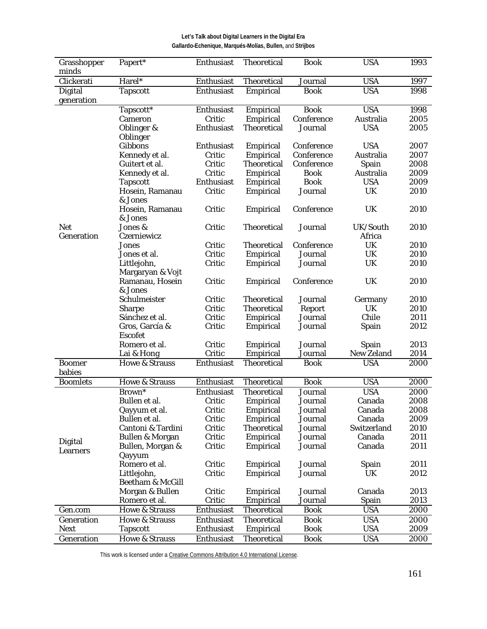**Let's Talk about Digital Learners in the Digital Era Gallardo-Echenique, Marqués-Molías, Bullen,** and **Strijbos**

| Grasshopper     | Papert*                    | Enthusiast | <b>Theoretical</b> | <b>Book</b> | <b>USA</b>  | 1993 |
|-----------------|----------------------------|------------|--------------------|-------------|-------------|------|
| minds           |                            |            |                    |             |             |      |
| Clickerati      | Harel*                     | Enthusiast | Theoretical        | Journal     | <b>USA</b>  | 1997 |
| Digital         | <b>Tapscott</b>            | Enthusiast | Empirical          | <b>Book</b> | <b>USA</b>  | 1998 |
| generation      |                            |            |                    |             |             |      |
|                 | Tapscott*                  | Enthusiast | Empirical          | <b>Book</b> | <b>USA</b>  | 1998 |
|                 | Cameron                    | Critic     | Empirical          | Conference  | Australia   | 2005 |
|                 | Oblinger &                 | Enthusiast | <b>Theoretical</b> | Journal     | <b>USA</b>  | 2005 |
|                 | Oblinger                   |            |                    |             |             |      |
|                 | Gibbons                    | Enthusiast | Empirical          | Conference  | <b>USA</b>  | 2007 |
|                 | Kennedy et al.             | Critic     | Empirical          | Conference  | Australia   | 2007 |
|                 | Guitert et al.             | Critic     | <b>Theoretical</b> | Conference  | Spain       | 2008 |
|                 | Kennedy et al.             | Critic     | Empirical          | <b>Book</b> | Australia   | 2009 |
|                 | <b>Tapscott</b>            | Enthusiast | Empirical          | <b>Book</b> | <b>USA</b>  | 2009 |
|                 | Hosein, Ramanau            | Critic     | Empirical          | Journal     | UK          | 2010 |
|                 | & Jones                    |            |                    |             |             |      |
|                 | Hosein, Ramanau            | Critic     | Empirical          | Conference  | UK          | 2010 |
|                 | & Jones                    |            |                    |             |             |      |
| <b>Net</b>      | Jones &                    | Critic     | <b>Theoretical</b> | Journal     | UK/South    | 2010 |
| Generation      | Czerniewicz                |            |                    |             | Africa      |      |
|                 | Jones                      | Critic     | <b>Theoretical</b> | Conference  | UK          | 2010 |
|                 | Jones et al.               | Critic     | Empirical          | Journal     | UK          | 2010 |
|                 | Littlejohn,                | Critic     | Empirical          | Journal     | UK          | 2010 |
|                 | Margaryan & Vojt           |            |                    |             |             |      |
|                 | Ramanau, Hosein            | Critic     | Empirical          | Conference  | UK          | 2010 |
|                 | & Jones                    |            |                    |             |             |      |
|                 | Schulmeister               | Critic     | <b>Theoretical</b> | Journal     | Germany     | 2010 |
|                 | <b>Sharpe</b>              | Critic     | <b>Theoretical</b> | Report      | UK          | 2010 |
|                 | Sánchez et al.             | Critic     | Empirical          | Journal     | Chile       | 2011 |
|                 | Gros, García &             | Critic     | Empirical          | Journal     | Spain       | 2012 |
|                 | <b>Escofet</b>             |            |                    |             |             |      |
|                 | Romero et al.              | Critic     | Empirical          | Journal     | Spain       | 2013 |
|                 | Lai & Hong                 | Critic     | Empirical          | Journal     | New Zeland  | 2014 |
| <b>Boomer</b>   | <b>Howe &amp; Strauss</b>  | Enthusiast | <b>Theoretical</b> | <b>Book</b> | <b>USA</b>  | 2000 |
| babies          |                            |            |                    |             |             |      |
| <b>Boomlets</b> | <b>Howe &amp; Strauss</b>  | Enthusiast | <b>Theoretical</b> | <b>Book</b> | <b>USA</b>  | 2000 |
|                 | Brown*                     | Enthusiast | <b>Theoretical</b> | Journal     | <b>USA</b>  | 2000 |
|                 | Bullen et al.              | Critic     | Empirical          | Journal     | Canada      | 2008 |
|                 | Qayyum et al.              | Critic     | <b>Empirical</b>   | Journal     | Canada      | 2008 |
|                 | Bullen et al.              | Critic     | Empirical          | Journal     | Canada      | 2009 |
|                 | Cantoni & Tardini          | Critic     | <b>Theoretical</b> | Journal     | Switzerland | 2010 |
| <b>Digital</b>  | <b>Bullen &amp; Morgan</b> | Critic     | Empirical          | Journal     | Canada      | 2011 |
| Learners        | Bullen, Morgan &           | Critic     | Empirical          | Journal     | Canada      | 2011 |
|                 | Qayyum                     |            |                    |             |             |      |
|                 | Romero et al.              | Critic     | Empirical          | Journal     | Spain       | 2011 |
|                 | Littlejohn,                | Critic     | Empirical          | Journal     | UK          | 2012 |
|                 | Beetham & McGill           |            |                    |             |             |      |
|                 | Morgan & Bullen            | Critic     | Empirical          | Journal     | Canada      | 2013 |
|                 | Romero et al.              | Critic     | Empirical          | Journal     | Spain       | 2013 |
| Gen.com         | <b>Howe &amp; Strauss</b>  | Enthusiast | <b>Theoretical</b> | <b>Book</b> | <b>USA</b>  | 2000 |
| Generation      | <b>Howe &amp; Strauss</b>  | Enthusiast | <b>Theoretical</b> | <b>Book</b> | <b>USA</b>  | 2000 |
| <b>Next</b>     | <b>Tapscott</b>            | Enthusiast | Empirical          | <b>Book</b> | <b>USA</b>  | 2009 |
| Generation      | <b>Howe &amp; Strauss</b>  | Enthusiast | <b>Theoretical</b> | <b>Book</b> | <b>USA</b>  | 2000 |

This work is licensed under [a Creative Commons Attribution 4.0 International License.](http://creativecommons.org/licenses/by/4.0/)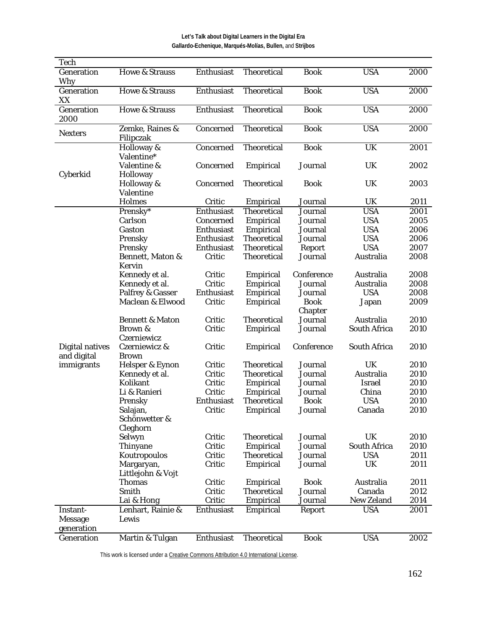| <b>Tech</b>                           |                                |            |                    |             |                     |      |
|---------------------------------------|--------------------------------|------------|--------------------|-------------|---------------------|------|
| Generation<br>Why                     | <b>Howe &amp; Strauss</b>      | Enthusiast | <b>Theoretical</b> | <b>Book</b> | <b>USA</b>          | 2000 |
| Generation<br>XX                      | <b>Howe &amp; Strauss</b>      | Enthusiast | <b>Theoretical</b> | <b>Book</b> | <b>USA</b>          | 2000 |
| Generation<br>2000                    | <b>Howe &amp; Strauss</b>      | Enthusiast | <b>Theoretical</b> | <b>Book</b> | <b>USA</b>          | 2000 |
| <b>Nexters</b>                        | Zemke, Raines &<br>Filipczak   | Concerned  | <b>Theoretical</b> | <b>Book</b> | <b>USA</b>          | 2000 |
|                                       | Holloway &<br>Valentine*       | Concerned  | <b>Theoretical</b> | <b>Book</b> | UK                  | 2001 |
| Cyberkid                              | Valentine &<br>Holloway        | Concerned  | Empirical          | Journal     | UK                  | 2002 |
|                                       | Holloway &<br><b>Valentine</b> | Concerned  | <b>Theoretical</b> | <b>Book</b> | UK                  | 2003 |
|                                       | Holmes                         | Critic     | Empirical          | Journal     | UK                  | 2011 |
|                                       | Prensky*                       | Enthusiast | <b>Theoretical</b> | Journal     | <b>USA</b>          | 2001 |
|                                       | Carlson                        | Concerned  | Empirical          | Journal     | <b>USA</b>          | 2005 |
|                                       | Gaston                         | Enthusiast | Empirical          | Journal     | <b>USA</b>          | 2006 |
|                                       | Prensky                        | Enthusiast | <b>Theoretical</b> | Journal     | <b>USA</b>          | 2006 |
|                                       | Prensky                        | Enthusiast | <b>Theoretical</b> | Report      | <b>USA</b>          | 2007 |
|                                       | Bennett, Maton &               | Critic     | <b>Theoretical</b> | Journal     | Australia           | 2008 |
|                                       | Kervin                         |            |                    |             |                     |      |
|                                       | Kennedy et al.                 | Critic     | Empirical          | Conference  | Australia           | 2008 |
|                                       | Kennedy et al.                 | Critic     | Empirical          | Journal     | Australia           | 2008 |
|                                       | <b>Palfrey &amp; Gasser</b>    | Enthusiast | Empirical          | Journal     | <b>USA</b>          | 2008 |
|                                       | Maclean & Elwood               | Critic     | Empirical          | <b>Book</b> | Japan               | 2009 |
|                                       |                                |            |                    | Chapter     |                     |      |
|                                       | <b>Bennett &amp; Maton</b>     | Critic     | <b>Theoretical</b> | Journal     | Australia           | 2010 |
|                                       | Brown &<br>Czerniewicz         | Critic     | Empirical          | Journal     | <b>South Africa</b> | 2010 |
| <b>Digital natives</b><br>and digital | Czerniewicz &<br><b>Brown</b>  | Critic     | Empirical          | Conference  | South Africa        | 2010 |
| immigrants                            | Helsper & Eynon                | Critic     | <b>Theoretical</b> | Journal     | UK                  | 2010 |
|                                       | Kennedy et al.                 | Critic     | <b>Theoretical</b> | Journal     | Australia           | 2010 |
|                                       | Kolikant                       | Critic     | Empirical          | Journal     | <b>Israel</b>       | 2010 |
|                                       | Li & Ranieri                   | Critic     | Empirical          | Journal     | China               | 2010 |
|                                       | Prensky                        | Enthusiast | <b>Theoretical</b> | <b>Book</b> | <b>USA</b>          | 2010 |
|                                       | Salajan,                       | Critic     | Empirical          | Journal     | Canada              | 2010 |
|                                       | Schönwetter &                  |            |                    |             |                     |      |
|                                       | Cleghorn                       |            |                    |             |                     |      |
|                                       | Selwyn                         | Critic     | <b>Theoretical</b> | Journal     | <b>UK</b>           | 2010 |
|                                       | Thinyane                       | Critic     | Empirical          | Journal     | South Africa        | 2010 |
|                                       | Koutropoulos                   | Critic     | <b>Theoretical</b> | Journal     | <b>USA</b>          | 2011 |
|                                       | Margaryan,                     | Critic     | Empirical          | Journal     | UK                  | 2011 |
|                                       | Littlejohn & Vojt              |            |                    |             |                     |      |
|                                       | <b>Thomas</b>                  | Critic     | Empirical          | <b>Book</b> | Australia           | 2011 |
|                                       | Smith                          | Critic     | <b>Theoretical</b> | Journal     | Canada              | 2012 |
|                                       | Lai & Hong                     | Critic     | Empirical          | Journal     | New Zeland          | 2014 |
| Instant-                              | Lenhart, Rainie &              | Enthusiast | Empirical          | Report      | <b>USA</b>          | 2001 |
| <b>Message</b>                        | Lewis                          |            |                    |             |                     |      |
| generation                            |                                |            |                    |             |                     |      |
| Generation                            | Martin & Tulgan                | Enthusiast | <b>Theoretical</b> | <b>Book</b> | <b>USA</b>          | 2002 |

This work is licensed under [a Creative Commons Attribution 4.0 International License.](http://creativecommons.org/licenses/by/4.0/)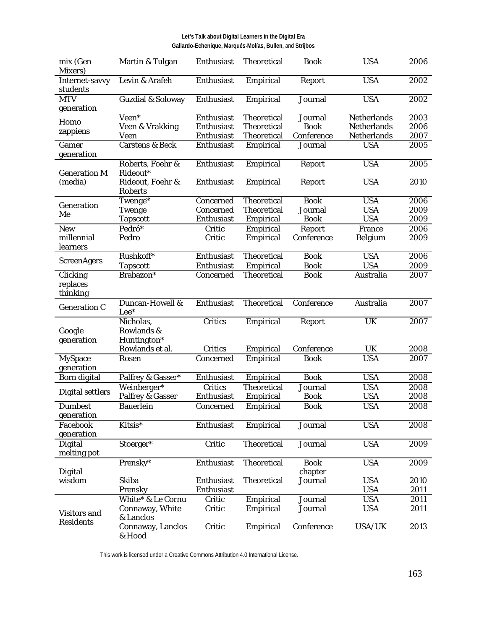#### **Let's Talk about Digital Learners in the Digital Era Gallardo-Echenique, Marqués-Molías, Bullen,** and **Strijbos**

| mix (Gen<br>Mixers)          | Martin & Tulgan                    | Enthusiast        | <b>Theoretical</b> | <b>Book</b> | <b>USA</b>               | 2006 |
|------------------------------|------------------------------------|-------------------|--------------------|-------------|--------------------------|------|
| Internet-savvy<br>students   | Levin & Arafeh                     | Enthusiast        | Empirical          | Report      | <b>USA</b>               | 2002 |
| <b>MTV</b><br>generation     | <b>Guzdial &amp; Soloway</b>       | Enthusiast        | Empirical          | Journal     | <b>USA</b>               | 2002 |
| Homo                         | $\overline{\text{Veen}^*}$         | Enthusiast        | <b>Theoretical</b> | Journal     | Netherlands              | 2003 |
| zappiens                     | Veen & Vrakking                    | <b>Enthusiast</b> | <b>Theoretical</b> | <b>Book</b> | Netherlands              | 2006 |
|                              | <b>Veen</b>                        | Enthusiast        | <b>Theoretical</b> | Conference  | Netherlands              | 2007 |
| Gamer<br>generation          | <b>Carstens &amp; Beck</b>         | Enthusiast        | Empirical          | Journal     | <b>USA</b>               | 2005 |
|                              | Roberts, Foehr &                   | Enthusiast        | Empirical          | Report      | <b>USA</b>               | 2005 |
| <b>Generation M</b>          | Rideout*                           |                   |                    |             |                          |      |
| (media)                      | Rideout, Foehr &<br><b>Roberts</b> | Enthusiast        | Empirical          | Report      | <b>USA</b>               | 2010 |
| Generation                   | Twenge*                            | Concerned         | <b>Theoretical</b> | <b>Book</b> | <b>USA</b>               | 2006 |
| Me                           | <b>Twenge</b>                      | Concerned         | <b>Theoretical</b> | Journal     | <b>USA</b>               | 2009 |
|                              | <b>Tapscott</b>                    | Enthusiast        | Empirical          | <b>Book</b> | <b>USA</b>               | 2009 |
| <b>New</b>                   | Pedró*                             | Critic            | Empirical          | Report      | France                   | 2006 |
| millennial                   | Pedro                              | Critic            | Empirical          | Conference  | Belgium                  | 2009 |
| learners                     |                                    |                   |                    |             |                          |      |
| <b>ScreenAgers</b>           | Rushkoff*                          | Enthusiast        | <b>Theoretical</b> | <b>Book</b> | <b>USA</b><br><b>USA</b> | 2006 |
|                              | <b>Tapscott</b><br>Brabazon*       | Enthusiast        | Empirical          | <b>Book</b> |                          | 2009 |
| Clicking<br>replaces         |                                    | Concerned         | <b>Theoretical</b> | <b>Book</b> | Australia                | 2007 |
| thinking                     |                                    |                   |                    |             |                          |      |
| <b>Generation C</b>          | Duncan-Howell &<br>Lee*            | Enthusiast        | <b>Theoretical</b> | Conference  | Australia                | 2007 |
|                              | Nicholas,                          | <b>Critics</b>    | Empirical          | Report      | UK                       | 2007 |
| Google                       | Rowlands &                         |                   |                    |             |                          |      |
| generation                   | Huntington*                        |                   |                    |             |                          |      |
|                              | Rowlands et al.                    | Critics           | Empirical          | Conference  | UK                       | 2008 |
| <b>MySpace</b>               | Rosen                              | Concerned         | Empirical          | <b>Book</b> | <b>USA</b>               | 2007 |
| generation                   |                                    |                   |                    |             |                          |      |
| Born digital                 | Palfrey & Gasser*                  | Enthusiast        | Empirical          | <b>Book</b> | <b>USA</b>               | 2008 |
| <b>Digital settlers</b>      | Weinberger*                        | Critics           | <b>Theoretical</b> | Journal     | <b>USA</b>               | 2008 |
|                              | Palfrey & Gasser                   | Enthusiast        | Empirical          | <b>Book</b> | <b>USA</b>               | 2008 |
| <b>Dumbest</b><br>generation | <b>Bauerlein</b>                   | Concerned         | Empirical          | <b>Book</b> | <b>USA</b>               | 2008 |
| Facebook                     | Kitsis*                            | Enthusiast        | Empirical          | Journal     | <b>USA</b>               | 2008 |
| generation                   |                                    |                   |                    |             |                          |      |
| Digital                      | Stoerger $*$                       | Critic            | <b>Theoretical</b> | Journal     | <b>USA</b>               | 2009 |
| melting pot                  |                                    |                   |                    |             |                          |      |
|                              | Prensky*                           | Enthusiast        | <b>Theoretical</b> | <b>Book</b> | <b>USA</b>               | 2009 |
| <b>Digital</b>               |                                    |                   |                    | chapter     |                          |      |
| wisdom                       | <b>Skiba</b>                       | <b>Enthusiast</b> | <b>Theoretical</b> | Journal     | <b>USA</b>               | 2010 |
|                              | Prensky                            | Enthusiast        |                    |             | <b>USA</b>               | 2011 |
|                              | White* & Le Cornu                  | Critic            | Empirical          | Journal     | <b>USA</b>               | 2011 |
| <b>Visitors</b> and          | Connaway, White                    | Critic            | Empirical          | Journal     | <b>USA</b>               | 2011 |
|                              |                                    |                   |                    |             |                          |      |
| <b>Residents</b>             | & Lanclos<br>Connaway, Lanclos     | Critic            | Empirical          | Conference  | USA/UK                   | 2013 |

This work is licensed under [a Creative Commons Attribution 4.0 International License.](http://creativecommons.org/licenses/by/4.0/)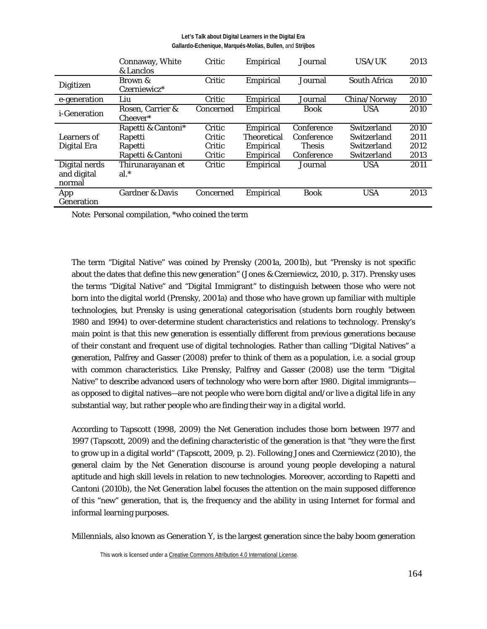#### **Let's Talk about Digital Learners in the Digital Era Gallardo-Echenique, Marqués-Molías, Bullen,** and **Strijbos**

|                                        | Connaway, White<br>& Lanclos                                  | Critic                               | Empirical                                                 | Journal                                                 | USA/UK                                                   | 2013                         |
|----------------------------------------|---------------------------------------------------------------|--------------------------------------|-----------------------------------------------------------|---------------------------------------------------------|----------------------------------------------------------|------------------------------|
| <b>Digitizen</b>                       | Brown &<br>Czerniewicz <sup>*</sup>                           | Critic                               | Empirical                                                 | Journal                                                 | <b>South Africa</b>                                      | 2010                         |
| e-generation                           | Liu                                                           | Critic                               | Empirical                                                 | Journal                                                 | China/Norway                                             | 2010                         |
| <i>i</i> -Generation                   | Rosen, Carrier &<br>Cheever <sup>*</sup>                      | Concerned                            | Empirical                                                 | <b>Book</b>                                             | <b>USA</b>                                               | 2010                         |
| Learners of<br>Digital Era             | Rapetti & Cantoni*<br>Rapetti<br>Rapetti<br>Rapetti & Cantoni | Critic<br>Critic<br>Critic<br>Critic | Empirical<br><b>Theoretical</b><br>Empirical<br>Empirical | Conference<br>Conference<br><b>Thesis</b><br>Conference | Switzerland<br>Switzerland<br>Switzerland<br>Switzerland | 2010<br>2011<br>2012<br>2013 |
| Digital nerds<br>and digital<br>normal | Thirunarayanan et<br>$al.*$                                   | Critic                               | Empirical                                                 | Journal                                                 | <b>USA</b>                                               | 2011                         |
| App<br><b>Generation</b>               | <b>Gardner &amp; Davis</b>                                    | Concerned                            | Empirical                                                 | <b>Book</b>                                             | <b>USA</b>                                               | 2013                         |

*Note:* Personal compilation, \*who coined the term

The term "Digital Native" was coined by Prensky (2001a, 2001b), but "Prensky is not specific about the dates that define this new generation" (Jones & Czerniewicz, 2010, p. 317). Prensky uses the terms "Digital Native" and "Digital Immigrant" to distinguish between those who were not born into the digital world (Prensky, 2001a) and those who have grown up familiar with multiple technologies, but Prensky is using generational categorisation (students born roughly between 1980 and 1994) to over-determine student characteristics and relations to technology. Prensky's main point is that this new generation is essentially different from previous generations because of their constant and frequent use of digital technologies. Rather than calling "Digital Natives" a generation, Palfrey and Gasser (2008) prefer to think of them as a population, i.e. a social group with common characteristics. Like Prensky, Palfrey and Gasser (2008) use the term "Digital Native" to describe advanced users of technology who were born after 1980. Digital immigrants as opposed to digital natives—are not people who were born digital and/or live a digital life in any substantial way, but rather people who are finding their way in a digital world.

According to Tapscott (1998, 2009) the Net Generation includes those born between 1977 and 1997 (Tapscott, 2009) and the defining characteristic of the generation is that "they were the first to grow up in a digital world" (Tapscott, 2009, p. 2). Following Jones and Czerniewicz (2010), the general claim by the Net Generation discourse is around young people developing a natural aptitude and high skill levels in relation to new technologies. Moreover, according to Rapetti and Cantoni (2010b), the Net Generation label focuses the attention on the main supposed difference of this "new" generation, that is, the frequency and the ability in using Internet for formal and informal learning purposes.

Millennials, also known as Generation Y, is the largest generation since the baby boom generation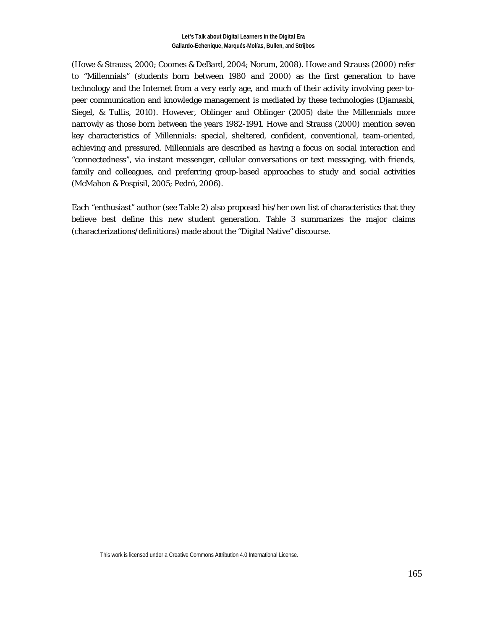(Howe & Strauss, 2000; Coomes & DeBard, 2004; Norum, 2008). Howe and Strauss (2000) refer to "Millennials" (students born between 1980 and 2000) as the first generation to have technology and the Internet from a very early age, and much of their activity involving peer-topeer communication and knowledge management is mediated by these technologies (Djamasbi, Siegel, & Tullis, 2010). However, Oblinger and Oblinger (2005) date the Millennials more narrowly as those born between the years 1982-1991. Howe and Strauss (2000) mention seven key characteristics of Millennials: special, sheltered, confident, conventional, team-oriented, achieving and pressured. Millennials are described as having a focus on social interaction and "connectedness", via instant messenger, cellular conversations or text messaging, with friends, family and colleagues, and preferring group-based approaches to study and social activities (McMahon & Pospisil, 2005; Pedró, 2006).

Each "enthusiast" author (see Table 2) also proposed his/her own list of characteristics that they believe best define this new student generation. Table 3 summarizes the major claims (characterizations/definitions) made about the "Digital Native" discourse.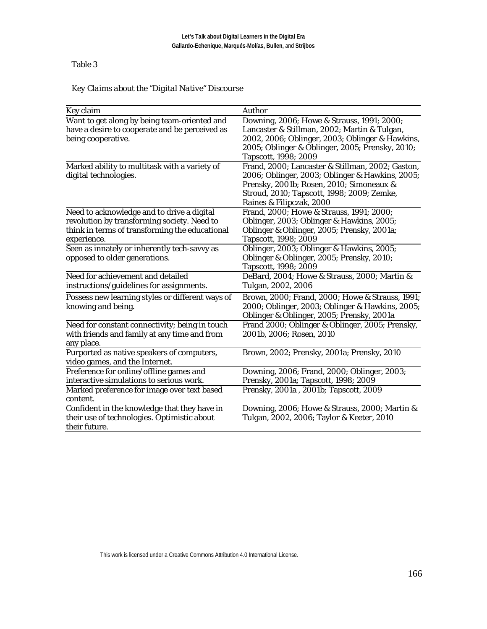#### Table 3

### *Key Claims about the "Digital Native" Discourse*

| Key claim                                        | Author                                           |
|--------------------------------------------------|--------------------------------------------------|
| Want to get along by being team-oriented and     | Downing, 2006; Howe & Strauss, 1991; 2000;       |
| have a desire to cooperate and be perceived as   | Lancaster & Stillman, 2002; Martin & Tulgan,     |
| being cooperative.                               | 2002, 2006; Oblinger, 2003; Oblinger & Hawkins,  |
|                                                  | 2005; Oblinger & Oblinger, 2005; Prensky, 2010;  |
|                                                  | Tapscott, 1998; 2009                             |
| Marked ability to multitask with a variety of    | Frand, 2000; Lancaster & Stillman, 2002; Gaston, |
| digital technologies.                            | 2006; Oblinger, 2003; Oblinger & Hawkins, 2005;  |
|                                                  | Prensky, 2001b; Rosen, 2010; Simoneaux &         |
|                                                  | Stroud, 2010; Tapscott, 1998; 2009; Zemke,       |
|                                                  | Raines & Filipczak, 2000                         |
| Need to acknowledge and to drive a digital       | Frand, 2000; Howe & Strauss, 1991; 2000;         |
| revolution by transforming society. Need to      | Oblinger, 2003; Oblinger & Hawkins, 2005;        |
| think in terms of transforming the educational   | Oblinger & Oblinger, 2005; Prensky, 2001a;       |
| experience.                                      | Tapscott, 1998; 2009                             |
| Seen as innately or inherently tech-savvy as     | Oblinger, 2003; Oblinger & Hawkins, 2005;        |
| opposed to older generations.                    | Oblinger & Oblinger, 2005; Prensky, 2010;        |
|                                                  | Tapscott, 1998; 2009                             |
| Need for achievement and detailed                | DeBard, 2004; Howe & Strauss, 2000; Martin &     |
| instructions/guidelines for assignments.         | Tulgan, 2002, 2006                               |
| Possess new learning styles or different ways of | Brown, 2000; Frand, 2000; Howe & Strauss, 1991;  |
| knowing and being.                               | 2000; Oblinger, 2003; Oblinger & Hawkins, 2005;  |
|                                                  | Oblinger & Oblinger, 2005; Prensky, 2001a        |
| Need for constant connectivity; being in touch   | Frand 2000; Oblinger & Oblinger, 2005; Prensky,  |
| with friends and family at any time and from     | 2001b, 2006; Rosen, 2010                         |
| any place.                                       |                                                  |
| Purported as native speakers of computers,       | Brown, 2002; Prensky, 2001a; Prensky, 2010       |
| video games, and the Internet.                   |                                                  |
| Preference for online/offline games and          | Downing, 2006; Frand, 2000; Oblinger, 2003;      |
| interactive simulations to serious work.         | Prensky, 2001a; Tapscott, 1998; 2009             |
| Marked preference for image over text based      | Prensky, 2001a, 2001b; Tapscott, 2009            |
| content.                                         |                                                  |
| Confident in the knowledge that they have in     | Downing, 2006; Howe & Strauss, 2000; Martin &    |
| their use of technologies. Optimistic about      | Tulgan, 2002, 2006; Taylor & Keeter, 2010        |
| their future.                                    |                                                  |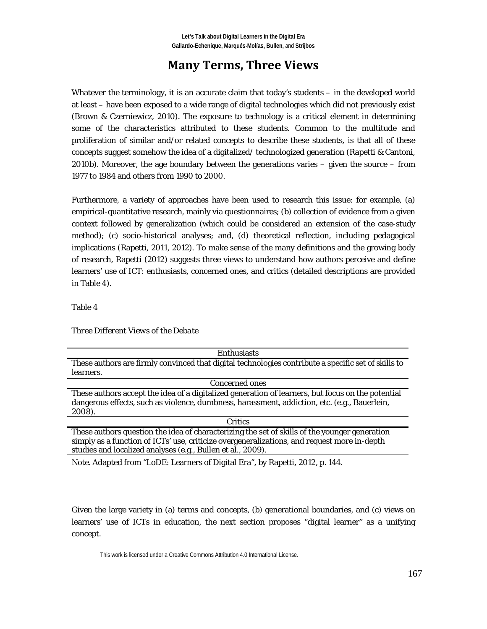### **Many Terms, Three Views**

Whatever the terminology, it is an accurate claim that today's students – in the developed world at least – have been exposed to a wide range of digital technologies which did not previously exist (Brown & Czerniewicz, 2010). The exposure to technology is a critical element in determining some of the characteristics attributed to these students. Common to the multitude and proliferation of similar and/or related concepts to describe these students, is that all of these concepts suggest somehow the idea of a digitalized/ technologized generation (Rapetti & Cantoni, 2010b). Moreover, the age boundary between the generations varies – given the source – from 1977 to 1984 and others from 1990 to 2000.

Furthermore, a variety of approaches have been used to research this issue: for example, (a) empirical-quantitative research, mainly via questionnaires; (b) collection of evidence from a given context followed by generalization (which could be considered an extension of the case-study method); (c) socio-historical analyses; and, (d) theoretical reflection, including pedagogical implications (Rapetti, 2011, 2012). To make sense of the many definitions and the growing body of research, Rapetti (2012) suggests three views to understand how authors perceive and define learners' use of ICT: enthusiasts, concerned ones, and critics (detailed descriptions are provided in Table 4).

Table 4

*Three Different Views of the Debate*

| <b>Enthusiasts</b>                                                                                                                                                                                             |
|----------------------------------------------------------------------------------------------------------------------------------------------------------------------------------------------------------------|
| These authors are firmly convinced that digital technologies contribute a specific set of skills to                                                                                                            |
| learners.                                                                                                                                                                                                      |
| Concerned ones                                                                                                                                                                                                 |
| These authors accept the idea of a digitalized generation of learners, but focus on the potential<br>dangerous effects, such as violence, dumbness, harassment, addiction, etc. (e.g., Bauerlein,<br>$2008$ ). |
| <b>Critics</b>                                                                                                                                                                                                 |
| These authors question the idea of characterizing the set of skills of the younger generation<br>simply as a function of ICTs' use criticize overgeneralizations, and request more in-denth                    |

ply as a tunction of ICTs' use, criticize overgeneralizations, and request more in-depth studies and localized analyses (e.g., Bullen et al., 2009).

*Note.* Adapted from "LoDE: Learners of Digital Era", by Rapetti, 2012, p. 144.

Given the large variety in (a) terms and concepts, (b) generational boundaries, and (c) views on learners' use of ICTs in education, the next section proposes "digital learner" as a unifying concept.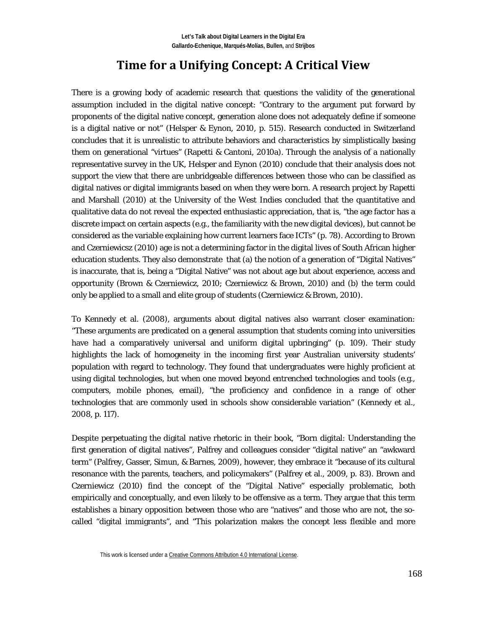## **Time for a Unifying Concept: A Critical View**

There is a growing body of academic research that questions the validity of the generational assumption included in the digital native concept: "Contrary to the argument put forward by proponents of the digital native concept, generation alone does not adequately define if someone is a digital native or not" (Helsper & Eynon, 2010, p. 515). Research conducted in Switzerland concludes that it is unrealistic to attribute behaviors and characteristics by simplistically basing them on generational "virtues" (Rapetti & Cantoni, 2010a). Through the analysis of a nationally representative survey in the UK, Helsper and Eynon (2010) conclude that their analysis does not support the view that there are unbridgeable differences between those who can be classified as digital natives or digital immigrants based on when they were born. A research project by Rapetti and Marshall (2010) at the University of the West Indies concluded that the quantitative and qualitative data do not reveal the expected enthusiastic appreciation, that is, "the age factor has a discrete impact on certain aspects (e.g., the familiarity with the new digital devices), but cannot be considered as the variable explaining how current learners face ICTs" (p. 78). According to Brown and Czerniewicsz (2010) age is not a determining factor in the digital lives of South African higher education students. They also demonstrate that (a) the notion of a generation of "Digital Natives" is inaccurate, that is, being a "Digital Native" was not about age but about experience, access and opportunity (Brown & Czerniewicz, 2010; Czerniewicz & Brown, 2010) and (b) the term could only be applied to a small and elite group of students (Czerniewicz & Brown, 2010).

To Kennedy et al. (2008), arguments about digital natives also warrant closer examination: "These arguments are predicated on a general assumption that students coming into universities have had a comparatively universal and uniform digital upbringing" (p. 109). Their study highlights the lack of homogeneity in the incoming first year Australian university students' population with regard to technology. They found that undergraduates were highly proficient at using digital technologies, but when one moved beyond *entrenched technologies and tools* (e.g., computers, mobile phones, email), "the proficiency and confidence in a range of other technologies that are commonly used in schools show considerable variation" (Kennedy et al., 2008, p. 117).

Despite perpetuating the digital native rhetoric in their book, "Born digital: Understanding the first generation of digital natives", Palfrey and colleagues consider "digital native" an "awkward term" (Palfrey, Gasser, Simun, & Barnes, 2009), however, they embrace it "because of its cultural resonance with the parents, teachers, and policymakers" (Palfrey et al., 2009, p. 83). Brown and Czerniewicz (2010) find the concept of the "Digital Native" especially problematic, both empirically and conceptually, and even likely to be offensive as a term. They argue that this term establishes a binary opposition between those who are "natives" and those who are not, the socalled "digital immigrants", and "This polarization makes the concept less flexible and more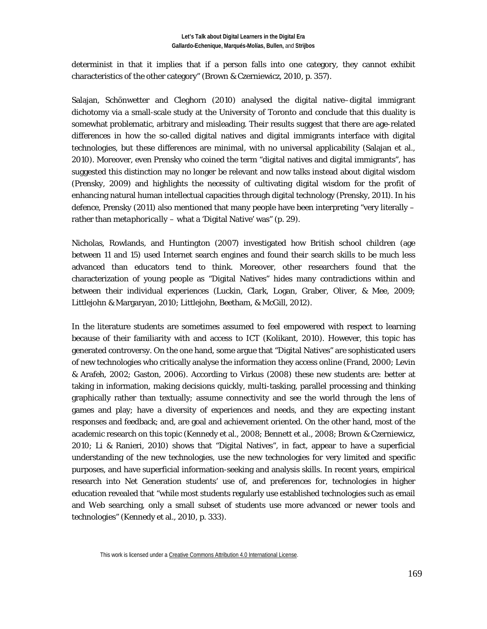determinist in that it implies that if a person falls into one category, they cannot exhibit characteristics of the other category" (Brown & Czerniewicz, 2010, p. 357).

Salajan, Schönwetter and Cleghorn (2010) analysed the digital native–digital immigrant dichotomy via a small-scale study at the University of Toronto and conclude that this duality is somewhat problematic, arbitrary and misleading. Their results suggest that there are age-related differences in how the so-called digital natives and digital immigrants interface with digital technologies, but these differences are minimal, with no universal applicability (Salajan et al., 2010). Moreover, even Prensky who coined the term "digital natives and digital immigrants", has suggested this distinction may no longer be relevant and now talks instead about digital wisdom (Prensky, 2009) and highlights the necessity of cultivating digital wisdom for the profit of enhancing natural human intellectual capacities through digital technology (Prensky, 2011). In his defence, Prensky (2011) also mentioned that many people have been interpreting "very literally – rather than *metaphorically* – what a 'Digital Native' was" (p. 29).

Nicholas, Rowlands, and Huntington (2007) investigated how British school children (age between 11 and 15) used Internet search engines and found their search skills to be much less advanced than educators tend to think. Moreover, other researchers found that the characterization of young people as "Digital Natives" hides many contradictions within and between their individual experiences (Luckin, Clark, Logan, Graber, Oliver, & Mee, 2009; Littlejohn & Margaryan, 2010; Littlejohn, Beetham, & McGill, 2012).

In the literature students are sometimes assumed to feel empowered with respect to learning because of their familiarity with and access to ICT (Kolikant, 2010). However, this topic has generated controversy. On the one hand, some argue that "Digital Natives" are sophisticated users of new technologies who critically analyse the information they access online (Frand, 2000; Levin & Arafeh, 2002; Gaston, 2006). According to Virkus (2008) these new students are: better at taking in information, making decisions quickly, multi-tasking, parallel processing and thinking graphically rather than textually; assume connectivity and see the world through the lens of games and play; have a diversity of experiences and needs, and they are expecting instant responses and feedback; and, are goal and achievement oriented. On the other hand, most of the academic research on this topic (Kennedy et al., 2008; Bennett et al., 2008; Brown & Czerniewicz, 2010; Li & Ranieri, 2010) shows that "Digital Natives", in fact, appear to have a superficial understanding of the new technologies, use the new technologies for very limited and specific purposes, and have superficial information-seeking and analysis skills. In recent years, empirical research into Net Generation students' use of, and preferences for, technologies in higher education revealed that "while most students regularly use established technologies such as email and Web searching, only a small subset of students use more advanced or newer tools and technologies" (Kennedy et al., 2010, p. 333).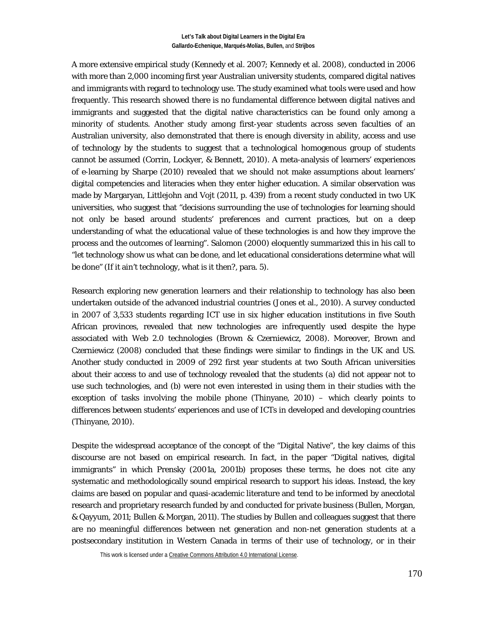A more extensive empirical study (Kennedy et al. 2007; Kennedy et al. 2008), conducted in 2006 with more than 2,000 incoming first year Australian university students, compared digital natives and immigrants with regard to technology use. The study examined what tools were used and how frequently. This research showed there is no fundamental difference between digital natives and immigrants and suggested that the digital native characteristics can be found only among a minority of students. Another study among first-year students across seven faculties of an Australian university, also demonstrated that there is enough diversity in ability, access and use of technology by the students to suggest that a technological homogenous group of students cannot be assumed (Corrin, Lockyer, & Bennett, 2010). A meta-analysis of learners' experiences of e-learning by Sharpe (2010) revealed that we should not make assumptions about learners' digital competencies and literacies when they enter higher education. A similar observation was made by Margaryan, Littlejohn and Vojt (2011, p. 439) from a recent study conducted in two UK universities, who suggest that "decisions surrounding the use of technologies for learning should not only be based around students' preferences and current practices, but on a deep understanding of what the educational value of these technologies is and how they improve the process and the outcomes of learning". Salomon (2000) eloquently summarized this in his call to "let technology show us what can be done, and let educational considerations determine what will be done" (If it ain't technology, what is it then?, para. 5).

Research exploring new generation learners and their relationship to technology has also been undertaken outside of the advanced industrial countries (Jones et al., 2010). A survey conducted in 2007 of 3,533 students regarding ICT use in six higher education institutions in five South African provinces, revealed that new technologies are infrequently used despite the hype associated with Web 2.0 technologies (Brown & Czerniewicz, 2008). Moreover, Brown and Czerniewicz (2008) concluded that these findings were similar to findings in the UK and US. Another study conducted in 2009 of 292 first year students at two South African universities about their access to and use of technology revealed that the students (a) did not appear not to use such technologies, and (b) were not even interested in using them in their studies with the exception of tasks involving the mobile phone (Thinyane, 2010) – which clearly points to differences between students' experiences and use of ICTs in developed and developing countries (Thinyane, 2010).

Despite the widespread acceptance of the concept of the "Digital Native", the key claims of this discourse are not based on empirical research. In fact, in the paper "Digital natives, digital immigrants" in which Prensky (2001a, 2001b) proposes these terms, he does not cite any systematic and methodologically sound empirical research to support his ideas. Instead, the key claims are based on popular and quasi-academic literature and tend to be informed by anecdotal research and proprietary research funded by and conducted for private business (Bullen, Morgan, & Qayyum, 2011; Bullen & Morgan, 2011). The studies by Bullen and colleagues suggest that there are no meaningful differences between net generation and non-net generation students at a postsecondary institution in Western Canada in terms of their use of technology, or in their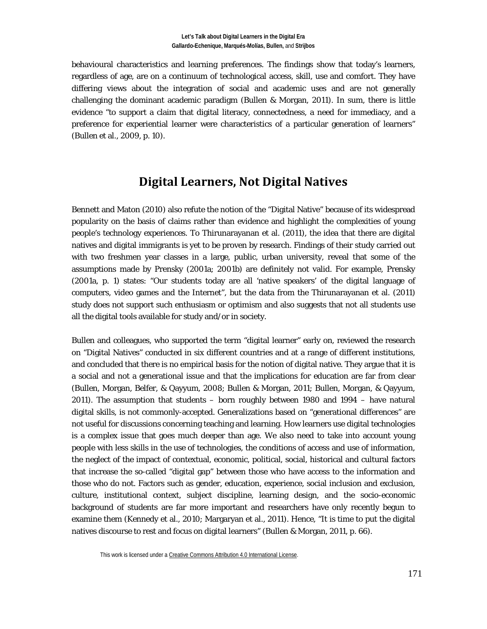behavioural characteristics and learning preferences. The findings show that today's learners, regardless of age, are on a continuum of technological access, skill, use and comfort. They have differing views about the integration of social and academic uses and are not generally challenging the dominant academic paradigm (Bullen & Morgan, 2011). In sum, there is little evidence "to support a claim that digital literacy, connectedness, a need for immediacy, and a preference for experiential learner were characteristics of a particular generation of learners" (Bullen et al., 2009, p. 10).

### **Digital Learners, Not Digital Natives**

Bennett and Maton (2010) also refute the notion of the "Digital Native" because of its widespread popularity on the basis of claims rather than evidence and highlight the complexities of young people's technology experiences. To Thirunarayanan et al. (2011), the idea that there are digital natives and digital immigrants is yet to be proven by research. Findings of their study carried out with two freshmen year classes in a large, public, urban university, reveal that some of the assumptions made by Prensky (2001a; 2001b) are definitely not valid. For example, Prensky (2001a, p. 1) states: "Our students today are all 'native speakers' of the digital language of computers, video games and the Internet", but the data from the Thirunarayanan et al. (2011) study does not support such enthusiasm or optimism and also suggests that not all students use all the digital tools available for study and/or in society.

Bullen and colleagues, who supported the term "digital learner" early on, reviewed the research on "Digital Natives" conducted in six different countries and at a range of different institutions, and concluded that there is no empirical basis for the notion of digital native. They argue that it is a social and not a generational issue and that the implications for education are far from clear (Bullen, Morgan, Belfer, & Qayyum, 2008; Bullen & Morgan, 2011; Bullen, Morgan, & Qayyum, 2011). The assumption that students – born roughly between 1980 and 1994 – have natural digital skills, is not commonly-accepted. Generalizations based on "generational differences" are not useful for discussions concerning teaching and learning. How learners use digital technologies is a complex issue that goes much deeper than age. We also need to take into account young people with less skills in the use of technologies, the conditions of access and use of information, the neglect of the impact of contextual, economic, political, social, historical and cultural factors that increase the so-called "digital gap" between those who have access to the information and those who do not. Factors such as gender, education, experience, social inclusion and exclusion, culture, institutional context, subject discipline, learning design, and the socio-economic background of students are far more important and researchers have only recently begun to examine them (Kennedy et al., 2010; Margaryan et al., 2011). Hence, "It is time to put the digital natives discourse to rest and focus on digital learners" (Bullen & Morgan, 2011, p. 66).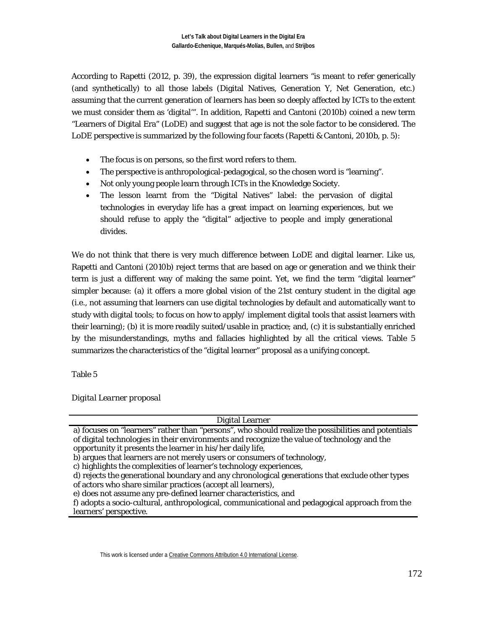According to Rapetti (2012, p. 39), the expression digital learners "is meant to refer generically (and synthetically) to all those labels (Digital Natives, Generation Y, Net Generation, etc.) assuming that the current generation of learners has been so deeply affected by ICTs to the extent we must consider them as 'digital'". In addition, Rapetti and Cantoni (2010b) coined a new term "Learners of Digital Era" (LoDE) and suggest that age is not the sole factor to be considered. The LoDE perspective is summarized by the following four facets (Rapetti & Cantoni, 2010b, p. 5):

- The focus is on persons, so the first word refers to them.
- The perspective is anthropological-pedagogical, so the chosen word is "learning".
- Not only young people learn through ICTs in the Knowledge Society.
- The lesson learnt from the "Digital Natives" label: the pervasion of digital technologies in everyday life has a great impact on learning experiences, but we should refuse to apply the "digital" adjective to people and imply generational divides.

We do not think that there is very much difference between LoDE and digital learner. Like us, Rapetti and Cantoni (2010b) reject terms that are based on age or generation and we think their term is just a different way of making the same point. Yet, we find the term "digital learner" simpler because: (a) it offers a more global vision of the 21st century student in the digital age (i.e., not assuming that learners can use digital technologies by default and automatically want to study with digital tools; to focus on how to apply/ implement digital tools that assist learners with their learning); (b) it is more readily suited/usable in practice; and, (c) it is substantially enriched by the misunderstandings, myths and fallacies highlighted by all the critical views. Table 5 summarizes the characteristics of the "digital learner" proposal as a unifying concept.

#### Table 5

*Digital Learner proposal*

Digital Learner

a) focuses on "learners" rather than "persons", who should realize the possibilities and potentials of digital technologies in their environments and recognize the value of technology and the opportunity it presents the learner in his/her daily life,

b) argues that learners are not merely users or consumers of technology,

c) highlights the complexities of learner's technology experiences,

d) rejects the generational boundary and any chronological generations that exclude other types of actors who share similar practices (accept all learners),

e) does not assume any pre-defined learner characteristics, and

f) adopts a socio-cultural, anthropological, communicational and pedagogical approach from the learners' perspective.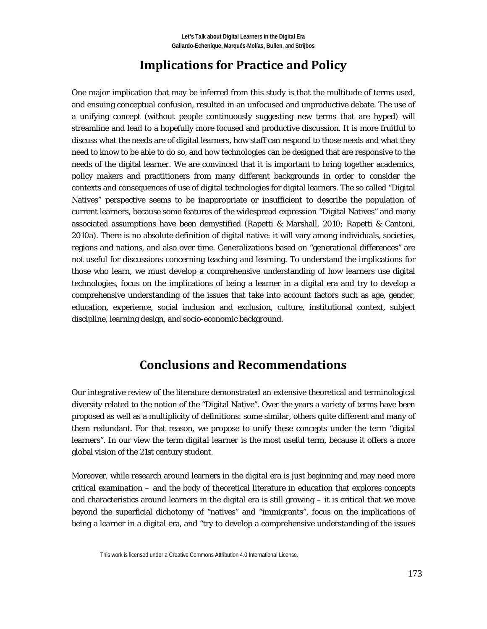## **Implications for Practice and Policy**

One major implication that may be inferred from this study is that the multitude of terms used, and ensuing conceptual confusion, resulted in an unfocused and unproductive debate. The use of a unifying concept (without people continuously suggesting new terms that are hyped) will streamline and lead to a hopefully more focused and productive discussion. It is more fruitful to discuss what the needs are of digital learners, how staff can respond to those needs and what they need to know to be able to do so, and how technologies can be designed that are responsive to the needs of the digital learner. We are convinced that it is important to bring together academics, policy makers and practitioners from many different backgrounds in order to consider the contexts and consequences of use of digital technologies for digital learners. The so called "Digital Natives" perspective seems to be inappropriate or insufficient to describe the population of current learners, because some features of the widespread expression "Digital Natives" and many associated assumptions have been demystified (Rapetti & Marshall, 2010; Rapetti & Cantoni, 2010a). There is no absolute definition of digital native: it will vary among individuals, societies, regions and nations, and also over time. Generalizations based on "generational differences" are not useful for discussions concerning teaching and learning. To understand the implications for those who learn, we must develop a comprehensive understanding of how learners use digital technologies, focus on the implications of being a learner in a digital era and try to develop a comprehensive understanding of the issues that take into account factors such as age, gender, education, experience, social inclusion and exclusion, culture, institutional context, subject discipline, learning design, and socio-economic background.

### **Conclusions and Recommendations**

Our integrative review of the literature demonstrated an extensive theoretical and terminological diversity related to the notion of the "Digital Native". Over the years a variety of terms have been proposed as well as a multiplicity of definitions: some similar, others quite different and many of them redundant. For that reason, we propose to unify these concepts under the term "digital learners". In our view the term *digital learner* is the most useful term, because it offers a more global vision of the 21st century student.

Moreover, while research around learners in the digital era is just beginning and may need more critical examination – and the body of theoretical literature in education that explores concepts and characteristics around learners in the digital era is still growing – it is critical that we move beyond the superficial dichotomy of "natives" and "immigrants", focus on the implications of being a learner in a digital era, and "try to develop a comprehensive understanding of the issues

This work is licensed under [a Creative Commons Attribution 4.0 International License.](http://creativecommons.org/licenses/by/4.0/)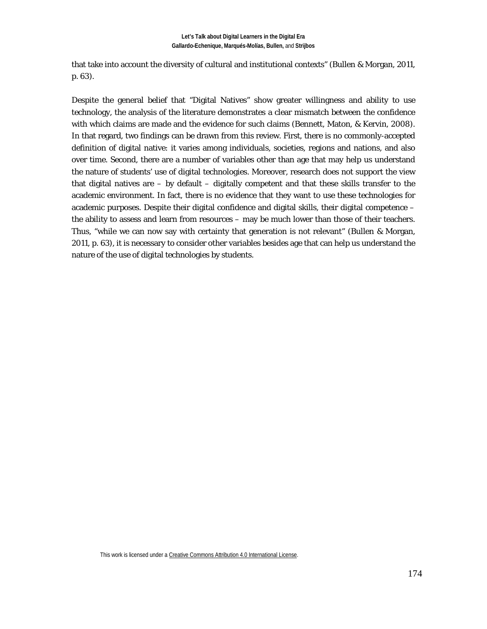that take into account the diversity of cultural and institutional contexts" (Bullen & Morgan, 2011, p. 63).

Despite the general belief that "Digital Natives" show greater willingness and ability to use technology, the analysis of the literature demonstrates a clear mismatch between the confidence with which claims are made and the evidence for such claims (Bennett, Maton, & Kervin, 2008). In that regard, two findings can be drawn from this review. First, there is no commonly-accepted definition of digital native: it varies among individuals, societies, regions and nations, and also over time. Second, there are a number of variables other than age that may help us understand the nature of students' use of digital technologies. Moreover, research does not support the view that digital natives are  $-$  by default  $-$  digitally competent and that these skills transfer to the academic environment. In fact, there is no evidence that they want to use these technologies for academic purposes. Despite their digital confidence and digital skills, their digital competence – the ability to assess and learn from resources – may be much lower than those of their teachers. Thus, "while we can now say with certainty that generation is not relevant" (Bullen & Morgan, 2011, p. 63), it is necessary to consider other variables besides age that can help us understand the nature of the use of digital technologies by students.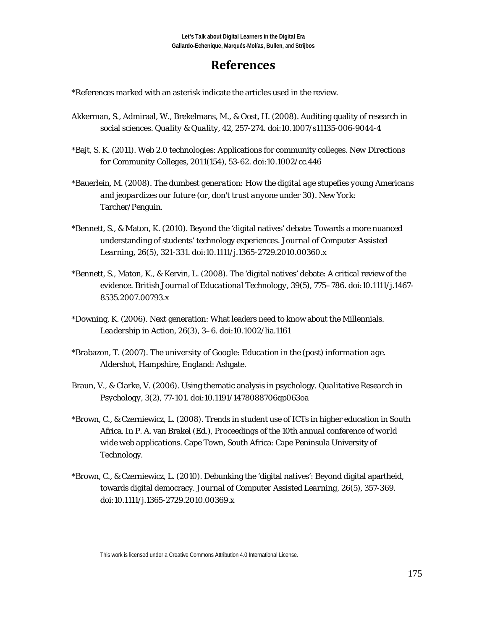### **References**

\*References marked with an asterisk indicate the articles used in the review.

- Akkerman, S., Admiraal, W., Brekelmans, M., & Oost, H. (2008). Auditing quality of research in social sciences. *Quality & Quality*, *42*, 257-274. doi:10.1007/s11135-006-9044-4
- \*Bajt, S. K. (2011). Web 2.0 technologies: Applications for community colleges. *New Directions for Community Colleges, 2011*(154), 53-62. doi:10.1002/cc.446
- \*Bauerlein, M. (2008). *The dumbest generation: How the digital age stupefies young Americans and jeopardizes our future (or, don't trust anyone under 30)*. New York: Tarcher/Penguin.
- \*Bennett, S., & Maton, K. (2010). Beyond the 'digital natives' debate: Towards a more nuanced understanding of students' technology experiences. *Journal of Computer Assisted Learning*, *26*(5), 321-331. doi:10.1111/j.1365-2729.2010.00360.x
- \*Bennett, S., Maton, K., & Kervin, L. (2008). The 'digital natives' debate: A critical review of the evidence. *British Journal of Educational Technology*, *39(*5), 775–786. doi:10.1111/j.1467- 8535.2007.00793.x
- \*Downing, K. (2006). Next generation: What leaders need to know about the Millennials. *Leadership in Action*, *26*(3), 3–6. doi:10.1002/lia.1161
- \*Brabazon, T. (2007). *The university of Google: Education in the (post) information age*. Aldershot, Hampshire, England: Ashgate.
- Braun, V., & Clarke, V. (2006). Using thematic analysis in psychology. *Qualitative Research in Psychology*, *3*(2), 77-101. doi:10.1191/1478088706qp063oa
- \*Brown, C., & Czerniewicz, L. (2008). Trends in student use of ICTs in higher education in South Africa. In P. A. van Brakel (Ed.), *Proceedings of the 10th annual conference of world wide web applications*. Cape Town, South Africa: Cape Peninsula University of Technology.
- \*Brown, C., & Czerniewicz, L. (2010). Debunking the 'digital natives': Beyond digital apartheid, towards digital democracy. *Journal of Computer Assisted Learning*, *26*(5), 357-369. doi:10.1111/j.1365-2729.2010.00369.x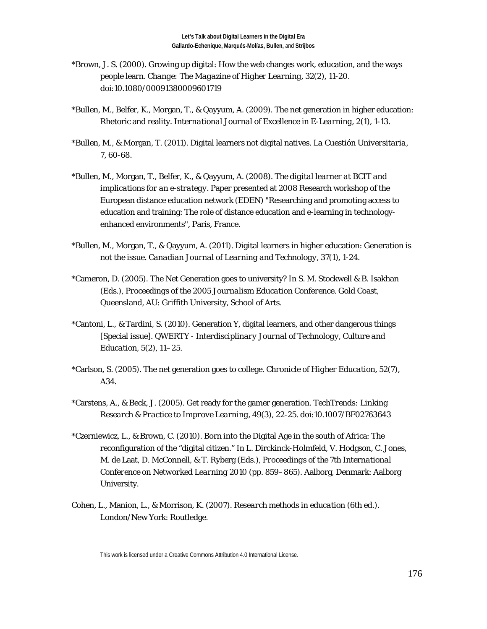- \*Brown, J. S. (2000). Growing up digital: How the web changes work, education, and the ways people learn. *Change: The Magazine of Higher Learning*, *32*(2), 11-20. doi:10.1080/00091380009601719
- \*Bullen, M., Belfer, K., Morgan, T., & Qayyum, A. (2009). The net generation in higher education: Rhetoric and reality. *International Journal of Excellence in E-Learning*, *2*(1), 1-13.
- \*Bullen, M., & Morgan, T. (2011). Digital learners not digital natives. *La Cuestión Universitaria*, 7, 60-68.
- \*Bullen, M., Morgan, T., Belfer, K., & Qayyum, A. (2008). *The digital learner at BCIT and implications for an e-strategy*. Paper presented at 2008 Research workshop of the European distance education network (EDEN) "Researching and promoting access to education and training: The role of distance education and e-learning in technologyenhanced environments", Paris, France.
- \*Bullen, M., Morgan, T., & Qayyum, A. (2011). Digital learners in higher education: Generation is not the issue. *Canadian Journal of Learning and Technology*, *37*(1), 1-24.
- \*Cameron, D. (2005). The Net Generation goes to university? In S. M. Stockwell & B. Isakhan (Eds.), *Proceedings of the 2005 Journalism Education Conference*. Gold Coast, Queensland, AU: Griffith University, School of Arts.
- \*Cantoni, L., & Tardini, S. (2010). Generation Y, digital learners, and other dangerous things [Special issue]. *QWERTY - Interdisciplinary Journal of Technology, Culture and Education*, *5*(2), 11–25.
- \*Carlson, S. (2005). The net generation goes to college. *Chronicle of Higher Education*, *52*(7), A34.
- \*Carstens, A., & Beck, J. (2005). Get ready for the gamer generation. *TechTrends: Linking Research & Practice to Improve Learning*, *49*(3), 22-25. doi:10.1007/BF02763643
- \*Czerniewicz, L., & Brown, C. (2010). Born into the Digital Age in the south of Africa: The reconfiguration of the "digital citizen." In L. Dirckinck-Holmfeld, V. Hodgson, C. Jones, M. de Laat, D. McConnell, & T. Ryberg (Eds.), *Proceedings of the 7th International Conference on Networked Learning 2010* (pp. 859–865). Aalborg, Denmark: Aalborg University.
- Cohen, L., Manion, L., & Morrison, K. (2007). *Research methods in education* (6th ed.). London/New York: Routledge.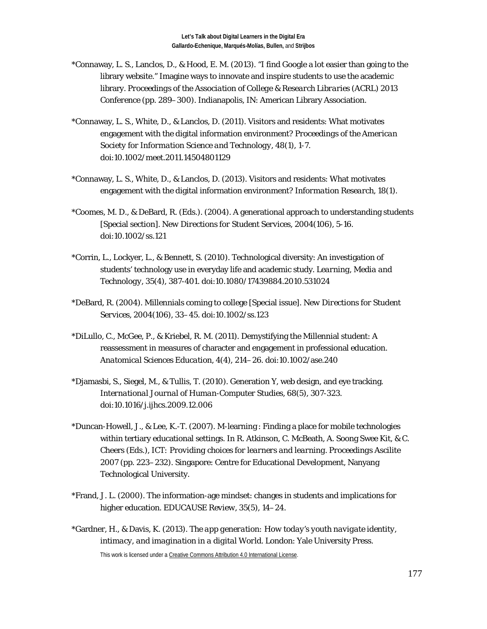- \*Connaway, L. S., Lanclos, D., & Hood, E. M. (2013). "I find Google a lot easier than going to the library website." Imagine ways to innovate and inspire students to use the academic library. *Proceedings of the Association of College & Research Libraries (ACRL) 2013 Conference* (pp. 289–300). Indianapolis, IN: American Library Association.
- \*Connaway, L. S., White, D., & Lanclos, D. (2011). Visitors and residents: What motivates engagement with the digital information environment? *Proceedings of the American Society for Information Science and Technology*, *48*(1), 1-7. doi:10.1002/meet.2011.14504801129
- \*Connaway, L. S., White, D., & Lanclos, D. (2013). Visitors and residents: What motivates engagement with the digital information environment? *Information Research*, *18*(1).
- \*Coomes, M. D., & DeBard, R. (Eds.). (2004). A generational approach to understanding students [Special section]. *New Directions for Student Services*, *2004*(106), 5-16. doi:10.1002/ss.121
- \*Corrin, L., Lockyer, L., & Bennett, S. (2010). Technological diversity: An investigation of students' technology use in everyday life and academic study. *Learning, Media and Technology*, *35*(4), 387-401. doi:10.1080/17439884.2010.531024
- \*DeBard, R. (2004). Millennials coming to college [Special issue]. *New Directions for Student Services*, *2004*(106), 33–45. doi:10.1002/ss.123
- \*DiLullo, C., McGee, P., & Kriebel, R. M. (2011). Demystifying the Millennial student: A reassessment in measures of character and engagement in professional education. *Anatomical Sciences Education*, *4*(4), 214–26. doi:10.1002/ase.240
- \*Djamasbi, S., Siegel, M., & Tullis, T. (2010). Generation Y, web design, and eye tracking. *International Journal of Human-Computer Studies*, *68*(5), 307-323. doi:10.1016/j.ijhcs.2009.12.006
- \*Duncan-Howell, J., & Lee, K.-T. (2007). M-learning : Finding a place for mobile technologies within tertiary educational settings. In R. Atkinson, C. McBeath, A. Soong Swee Kit, & C. Cheers (Eds.), *ICT: Providing choices for learners and learning. Proceedings Ascilite 2007* (pp. 223–232). Singapore: Centre for Educational Development, Nanyang Technological University.
- \*Frand, J. L. (2000). The information-age mindset: changes in students and implications for higher education. *EDUCAUSE Review*, *35*(5), 14–24.
- This work is licensed under [a Creative Commons Attribution 4.0 International License.](http://creativecommons.org/licenses/by/4.0/) \*Gardner, H., & Davis, K. (2013). *The app generation: How today's youth navigate identity, intimacy, and imagination in a digital World*. London: Yale University Press.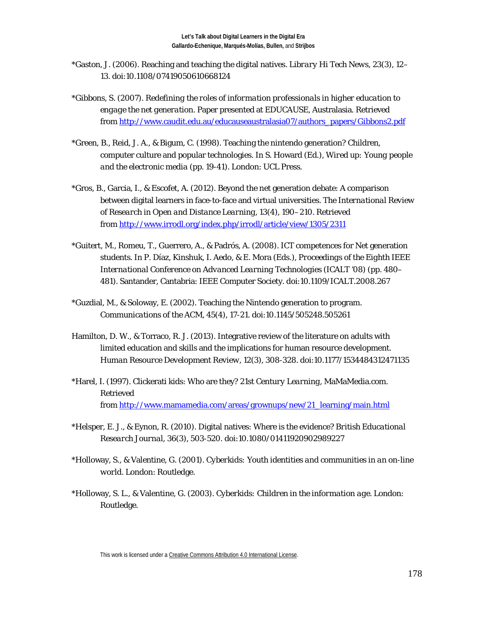- \*Gaston, J. (2006). Reaching and teaching the digital natives. *Library Hi Tech News*, *23*(3), 12– 13. doi:10.1108/07419050610668124
- \*Gibbons, S. (2007). *Redefining the roles of information professionals in higher education to engage the net generation*. Paper presented at EDUCAUSE, Australasia. Retrieved from [http://www.caudit.edu.au/educauseaustralasia07/authors\\_papers/Gibbons2.pdf](http://www.caudit.edu.au/educauseaustralasia07/authors_papers/Gibbons2.pdf)
- \*Green, B., Reid, J. A., & Bigum, C. (1998). Teaching the nintendo generation? Children, computer culture and popular technologies. In S. Howard (Ed.), *Wired up: Young people and the electronic media* (pp. 19-41). London: UCL Press.
- \*Gros, B., Garcia, I., & Escofet, A. (2012). Beyond the net generation debate: A comparison between digital learners in face-to-face and virtual universities. *The International Review of Research in Open and Distance Learning*, *13*(4), 190–210. Retrieved from<http://www.irrodl.org/index.php/irrodl/article/view/1305/2311>
- \*Guitert, M., Romeu, T., Guerrero, A., & Padrós, A. (2008). ICT competences for Net generation students. In P. Díaz, Kinshuk, I. Aedo, & E. Mora (Eds.), *Proceedings of the Eighth IEEE International Conference on Advanced Learning Technologies (ICALT '08)* (pp. 480– 481). Santander, Cantabria: IEEE Computer Society. doi:10.1109/ICALT.2008.267
- \*Guzdial, M., & Soloway, E. (2002). Teaching the Nintendo generation to program. *Communications of the ACM*, *45*(4), 17-21. doi:10.1145/505248.505261
- Hamilton, D. W., & Torraco, R. J. (2013). Integrative review of the literature on adults with limited education and skills and the implications for human resource development. *Human Resource Development Review*, *12*(3), 308-328. doi:10.1177/1534484312471135
- \*Harel, I. (1997). Clickerati kids: Who are they? *21st Century Learning*, MaMaMedia.com. Retrieved from [http://www.mamamedia.com/areas/grownups/new/21\\_learning/main.html](http://www.mamamedia.com/areas/grownups/new/21_learning/main.html)
- \*Helsper, E. J., & Eynon, R. (2010). Digital natives: Where is the evidence? *British Educational Research Journal*, *36*(3), 503-520. doi:10.1080/01411920902989227
- \*Holloway, S., & Valentine, G. (2001). *Cyberkids: Youth identities and communities in an on-line world*. London: Routledge.
- \*Holloway, S. L., & Valentine, G. (2003). *Cyberkids: Children in the information age*. London: Routledge.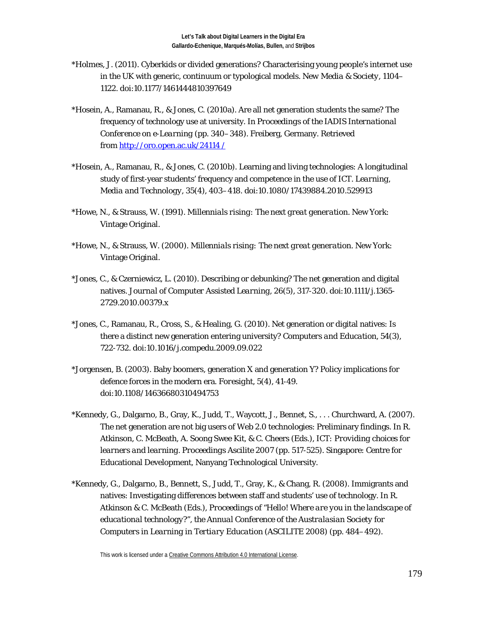- \*Holmes, J. (2011). Cyberkids or divided generations? Characterising young people's internet use in the UK with generic, continuum or typological models. *New Media & Society*, 1104– 1122. doi:10.1177/1461444810397649
- \*Hosein, A., Ramanau, R., & Jones, C. (2010a). Are all net generation students the same? The frequency of technology use at university. In *Proceedings of the IADIS International Conference on e-Learning* (pp. 340–348). Freiberg, Germany. Retrieved from [http://oro.open.ac.uk/24114 /](http://oro.open.ac.uk/24114%20/)
- \*Hosein, A., Ramanau, R., & Jones, C. (2010b). Learning and living technologies: A longitudinal study of first‐year students' frequency and competence in the use of ICT. *Learning, Media and Technology*, *35*(4), 403–418. doi:10.1080/17439884.2010.529913
- \*Howe, N., & Strauss, W. (1991). *Millennials rising: The next great generation*. New York: Vintage Original.
- \*Howe, N., & Strauss, W. (2000). *Millennials rising: The next great generation*. New York: Vintage Original.
- \*Jones, C., & Czerniewicz, L. (2010). Describing or debunking? The net generation and digital natives. *Journal of Computer Assisted Learning*, *26*(5), 317-320. doi:10.1111/j.1365- 2729.2010.00379.x
- \*Jones, C., Ramanau, R., Cross, S., & Healing, G. (2010). Net generation or digital natives: Is there a distinct new generation entering university? *Computers and Education*, 54(3), 722-732. doi:10.1016/j.compedu.2009.09.022
- \*Jorgensen, B. (2003). Baby boomers, generation X and generation Y? Policy implications for defence forces in the modern era. *Foresight*, *5*(4), 41-49. doi:10.1108/14636680310494753
- \*Kennedy, G., Dalgarno, B., Gray, K., Judd, T., Waycott, J., Bennet, S., . . . Churchward, A. (2007). The net generation are not big users of Web 2.0 technologies: Preliminary findings. In R. Atkinson, C. McBeath, A. Soong Swee Kit, & C. Cheers (Eds.), *ICT: Providing choices for learners and learning. Proceedings Ascilite 2007* (pp. 517-525). Singapore: Centre for Educational Development, Nanyang Technological University.
- \*Kennedy, G., Dalgarno, B., Bennett, S., Judd, T., Gray, K., & Chang, R. (2008). Immigrants and natives: Investigating differences between staff and students' use of technology. In R. Atkinson & C. McBeath (Eds.), *Proceedings of "Hello! Where are you in the landscape of educational technology?", the Annual Conference of the Australasian Society for Computers in Learning in Tertiary Education (ASCILITE 2008)* (pp. 484–492).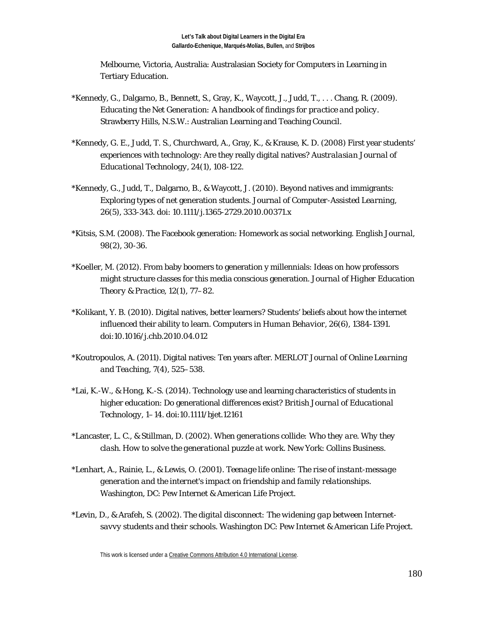Melbourne, Victoria, Australia: Australasian Society for Computers in Learning in Tertiary Education.

- \*Kennedy, G., Dalgarno, B., Bennett, S., Gray, K., Waycott, J., Judd, T., . . . Chang, R. (2009). *Educating the Net Generation: A handbook of findings for practice and policy*. Strawberry Hills, N.S.W.: Australian Learning and Teaching Council.
- \*Kennedy, G. E., Judd, T. S., Churchward, A., Gray, K., & Krause, K. D. (2008) First year students' experiences with technology: Are they really digital natives? *Australasian Journal of Educational Technology*, *24*(1), 108-122.
- \*Kennedy, G., Judd, T., Dalgarno, B., & Waycott, J. (2010). Beyond natives and immigrants: Exploring types of net generation students. *[Journal of Computer-Assisted Learning](http://onlinelibrary.wiley.com/doi/10.1111/jca.2010.26.issue-5/issuetoc)*, *[26](http://onlinelibrary.wiley.com/doi/10.1111/jca.2010.26.issue-5/issuetoc)*(5), 333-343. doi: 10.1111/j.1365-2729.2010.00371.x
- \*Kitsis, S.M. (2008). The Facebook generation: Homework as social networking. *English Journal*, *98*(2), 30-36.
- \*Koeller, M. (2012). From baby boomers to generation y millennials: Ideas on how professors might structure classes for this media conscious generation. *Journal of Higher Education Theory & Practice*, *12*(1), 77–82.
- \*Kolikant, Y. B. (2010). Digital natives, better learners? Students' beliefs about how the internet influenced their ability to learn. *Computers in Human Behavior*, *26*(6), 1384-1391. doi:10.1016/j.chb.2010.04.012
- \*Koutropoulos, A. (2011). Digital natives: Ten years after. *MERLOT Journal of Online Learning and Teaching*, *7*(4), 525–538.
- \*Lai, K.-W., & Hong, K.-S. (2014). Technology use and learning characteristics of students in higher education: Do generational differences exist? *British Journal of Educational Technology*, 1–14. doi:10.1111/bjet.12161
- \*Lancaster, L. C., & Stillman, D. (2002). *When generations collide: Who they are. Why they clash. How to solve the generational puzzle at work*. New York: Collins Business.
- \*Lenhart, A., Rainie, L., & Lewis, O. (2001). *Teenage life online: The rise of instant-message generation and the internet's impact on friendship and family relationships*. Washington, DC: Pew Internet & American Life Project.
- \*Levin, D., & Arafeh, S. (2002). *The digital disconnect: The widening gap between Internetsavvy students and their schools*. Washington DC: Pew Internet & American Life Project.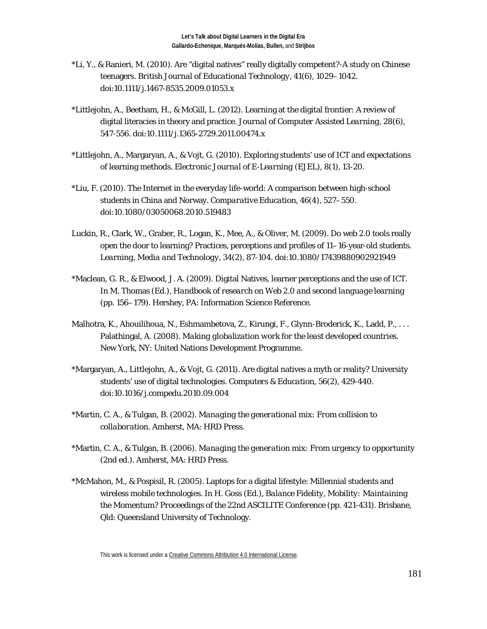- \*Li, Y., & Ranieri, M. (2010). Are "digital natives" really digitally competent?-A study on Chinese teenagers. *British Journal of Educational Technology*, *41*(6), 1029–1042. doi:10.1111/j.1467-8535.2009.01053.x
- \*Littlejohn, A., Beetham, H., & McGill, L. (2012). Learning at the digital frontier: A review of digital literacies in theory and practice. *Journal of Computer Assisted Learning*, *28*(6), 547-556. doi:10.1111/j.1365-2729.2011.00474.x
- \*Littlejohn, A., Margaryan, A., & Vojt, G. (2010). Exploring students' use of ICT and expectations of learning methods. *Electronic Journal of E-Learning (EJEL)*, *8*(1), 13-20.
- \*Liu, F. (2010). The Internet in the everyday life-world: A comparison between high‐school students in China and Norway. *Comparative Education*, *46*(4), 527–550. doi:10.1080/03050068.2010.519483
- Luckin, R., Clark, W., Graber, R., Logan, K., Mee, A., & Oliver, M. (2009). Do web 2.0 tools really open the door to learning? Practices, perceptions and profiles of 11–16‐year‐old students. *Learning, Media and Technology*, *34*(2), 87-104. doi:10.1080/17439880902921949
- \*Maclean, G. R., & Elwood, J. A. (2009). Digital Natives, learner perceptions and the use of ICT. In M. Thomas (Ed.), *Handbook of research on Web 2.0 and second language learning* (pp. 156–179). Hershey, PA: Information Science Reference.
- Malhotra, K., Ahouilihoua, N., Eshmambetova, Z., Kirungi, F., Glynn-Broderick, K., Ladd, P., . . . Palathingal, A. (2008). *Making globalization work for the least developed countries*. New York, NY: United Nations Development Programme.
- \*Margaryan, A., Littlejohn, A., & Vojt, G. (2011). Are digital natives a myth or reality? University students' use of digital technologies. *Computers & Education*, *56*(2), 429-440. doi:10.1016/j.compedu.2010.09.004
- \*Martin, C. A., & Tulgan, B. (2002). *Managing the generational mix: From collision to collaboration*. Amherst, MA: HRD Press.
- \*Martin, C. A., & Tulgan, B. (2006). *Managing the generation mix: From urgency to opportunity* (2nd ed.). Amherst, MA: HRD Press.
- \*McMahon, M., & Pospisil, R. (2005). Laptops for a digital lifestyle: Millennial students and wireless mobile technologies. In H. Goss (Ed.), *Balance Fidelity, Mobility: Maintaining the Momentum? Proceedings of the 22nd ASCILITE Conference* (pp. 421-431). Brisbane, Qld: Queensland University of Technology.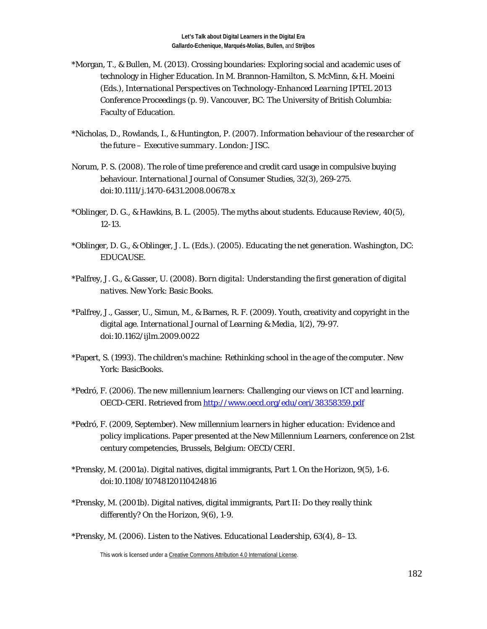- \*Morgan, T., & Bullen, M. (2013). Crossing boundaries: Exploring social and academic uses of technology in Higher Education. In M. Brannon-Hamilton, S. McMinn, & H. Moeini (Eds.), *International Perspectives on Technology-Enhanced Learning IPTEL 2013 Conference Proceedings* (p. 9). Vancouver, BC: The University of British Columbia: Faculty of Education.
- \*Nicholas, D., Rowlands, I., & Huntington, P. (2007). *Information behaviour of the researcher of the future – Executive summary*. London: JISC.
- Norum, P. S. (2008). The role of time preference and credit card usage in compulsive buying behaviour. *International Journal of Consumer Studies*, *32*(3), 269-275. doi:10.1111/j.1470-6431.2008.00678.x
- \*Oblinger, D. G., & Hawkins, B. L. (2005). The myths about students. *Educause Review*, *40*(5), 12-13.
- \*Oblinger, D. G., & Oblinger, J. L. (Eds.). (2005). *Educating the net generation*. Washington, DC: EDUCAUSE.
- \*Palfrey, J. G., & Gasser, U. (2008). *Born digital: Understanding the first generation of digital natives*. New York: Basic Books.
- \*Palfrey, J., Gasser, U., Simun, M., & Barnes, R. F. (2009). Youth, creativity and copyright in the digital age. *International Journal of Learning & Media*, *1*(2), 79-97. doi:10.1162/ijlm.2009.0022
- \*Papert, S. (1993). *The children's machine: Rethinking school in the age of the computer*. New York: BasicBooks.
- \*Pedró, F. (2006). *The new millennium learners: Challenging our views on ICT and learning*. OECD-CERI. Retrieved fro[m http://www.oecd.org/edu/ceri/38358359.pdf](http://www.oecd.org/edu/ceri/38358359.pdf)
- [\\*Pedró, F.](http://ictlogy.net/bibliography/reports/contacts.php?idc=1122) (2009, September). *New millennium learners in higher education: Evidence and policy implications*. Paper presented at the New Millennium Learners, conference on 21st century competencies, Brussels, Belgium: OECD/CERI.
- \*Prensky, M. (2001a). Digital natives, digital immigrants, Part 1*. On the Horizon*, *9*(5), 1-6. doi:10.1108/10748120110424816
- \*Prensky, M. (2001b). Digital natives, digital immigrants, Part II: Do they really *think* differently? *On the Horizon*, *9*(6), 1-9.
- \*Prensky, M. (2006). Listen to the Natives. *Educational Leadership*, *63*(4), 8–13.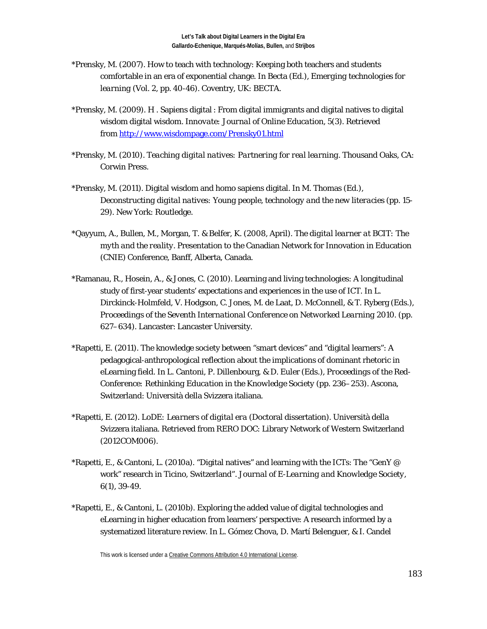- \*Prensky, M. (2007). How to teach with technology: Keeping both teachers and students comfortable in an era of exponential change. In Becta (Ed.), *Emerging technologies for learning* (Vol. 2, pp. 40-46). Coventry, UK: BECTA.
- \*Prensky, M. (2009). H . Sapiens digital : From digital immigrants and digital natives to digital wisdom digital wisdom. *Innovate: Journal of Online Education*, *5*(3). Retrieved from<http://www.wisdompage.com/Prensky01.html>
- \*Prensky, M. (2010). *Teaching digital natives: Partnering for real learning*. Thousand Oaks, CA: Corwin Press.
- \*Prensky, M. (2011). Digital wisdom and homo sapiens digital. In M. Thomas (Ed.), *Deconstructing digital natives: Young people, technology and the new literacies* (pp. 15- 29). New York: Routledge.
- \*Qayyum, A., Bullen, M., Morgan, T. & Belfer, K. (2008, April). *The digital learner at BCIT: The myth and the reality*[. P](http://www.slideshare.net/markbullen/cni-edigitallearner)resentation to the Canadian Network for Innovation in Education (CNIE) Conference, Banff, Alberta, Canada.
- \*Ramanau, R., Hosein, A., & Jones, C. (2010). Learning and living technologies: A longitudinal study of first-year students' expectations and experiences in the use of ICT. In L. Dirckinck-Holmfeld, V. Hodgson, C. Jones, M. de Laat, D. McConnell, & T. Ryberg (Eds.), *Proceedings of the Seventh International Conference on Networked Learning 2010.* (pp. 627–634). Lancaster: Lancaster University.
- \*Rapetti, E. (2011). The knowledge society between "smart devices" and "digital learners": A pedagogical‐anthropological reflection about the implications of dominant rhetoric in eLearning field. In L. Cantoni, P. Dillenbourg, & D. Euler (Eds.), *Proceedings of the Red-Conference: Rethinking Education in the Knowledge Society* (pp. 236–253). Ascona, Switzerland: Università della Svizzera italiana.
- \*Rapetti, E. (2012). *LoDE: Learners of digital era* (Doctoral dissertation). Università della Svizzera italiana. Retrieved from RERO DOC: Library Network of Western Switzerland (2012COM006).
- \*Rapetti, E., & Cantoni, L. (2010a). "Digital natives" and learning with the ICTs: The "GenY @ work" research in Ticino, Switzerland". *Journal of E-Learning and Knowledge Society*, *6*(1), 39-49.
- \*Rapetti, E., & Cantoni, L. (2010b). Exploring the added value of digital technologies and eLearning in higher education from learners' perspective: A research informed by a systematized literature review. In L. Gómez Chova, D. Martí Belenguer, & I. Candel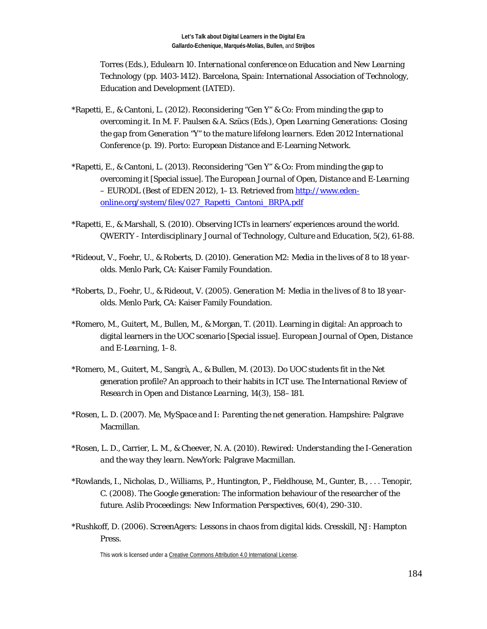Torres (Eds.), *Edulearn 10. International conference on Education and New Learning Technology* (pp. 1403-1412). Barcelona, Spain: International Association of Technology, Education and Development (IATED).

- \*Rapetti, E., & Cantoni, L. (2012). Reconsidering "Gen Y" & Co: From minding the gap to overcoming it. In M. F. Paulsen & A. Szücs (Eds.), *Open Learning Generations: Closing the gap from Generation "Y" to the mature lifelong learners. Eden 2012 International Conference* (p. 19). Porto: European Distance and E-Learning Network.
- \*Rapetti, E., & Cantoni, L. (2013). Reconsidering "Gen Y" & Co: From minding the gap to overcoming it [Special issue]. *The European Journal of Open, Distance and E-Learning – EURODL* (Best of EDEN 2012), 1–13. Retrieved from [http://www.eden](http://www.eden-online.org/system/files/027_Rapetti_Cantoni_BRPA.pdf)[online.org/system/files/027\\_Rapetti\\_Cantoni\\_BRPA.pdf](http://www.eden-online.org/system/files/027_Rapetti_Cantoni_BRPA.pdf)
- \*Rapetti, E., & Marshall, S. (2010). Observing ICTs in learners' experiences around the world. *QWERTY - Interdisciplinary Journal of Technology, Culture and Education*, *5*(2), 61-88.
- \*Rideout, V., Foehr, U., & Roberts, D. (2010). *Generation M2: Media in the lives of 8 to 18 yearolds*. Menlo Park, CA: Kaiser Family Foundation.
- \*Roberts, D., Foehr, U., & Rideout, V. (2005). *Generation M: Media in the lives of 8 to 18 yearolds*. Menlo Park, CA: Kaiser Family Foundation.
- \*Romero, M., Guitert, M., Bullen, M., & Morgan, T. (2011). Learning in digital: An approach to digital learners in the UOC scenario [Special issue]. *European Journal of Open, Distance and E-Learning*, 1–8.
- \*Romero, M., Guitert, M., Sangrà, A., & Bullen, M. (2013). Do UOC students fit in the Net generation profile? An approach to their habits in ICT use. *The International Review of Research in Open and Distance Learning, 14*(3), 158–181.
- \*Rosen, L. D. (2007). *Me, MySpace and I: Parenting the net generation*. Hampshire: Palgrave Macmillan.
- \*Rosen, L. D., Carrier, L. M., & Cheever, N. A. (2010). *Rewired: Understanding the I-Generation and the way they learn*. NewYork: Palgrave Macmillan.
- \*Rowlands, I., Nicholas, D., Williams, P., Huntington, P., Fieldhouse, M., Gunter, B., . . . Tenopir, C. (2008). The Google generation: The information behaviour of the researcher of the future. *Aslib Proceedings: New Information Perspectives*, *60*(4), 290-310.
- \*Rushkoff, D. (2006). *ScreenAgers: Lessons in chaos from digital kids*. Cresskill, NJ: Hampton Press.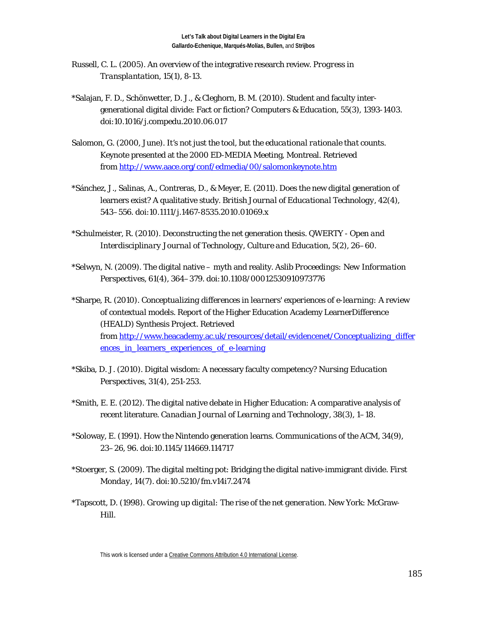- Russell, C. L. (2005). An overview of the integrative research review. *Progress in Transplantation*, *15*(1), 8-13.
- \*Salajan, F. D., Schönwetter, D. J., & Cleghorn, B. M. (2010). Student and faculty intergenerational digital divide: Fact or fiction? *Computers & Education*, 55(3), 1393-1403. doi:10.1016/j.compedu.2010.06.017
- Salomon, G. (2000, June). *It's not just the tool, but the educational rationale that counts*. Keynote presented at the 2000 ED-MEDIA Meeting, Montreal. Retrieved from<http://www.aace.org/conf/edmedia/00/salomonkeynote.htm>
- \*Sánchez, J., Salinas, A., Contreras, D., & Meyer, E. (2011). Does the new digital generation of learners exist? A qualitative study. *British Journal of Educational Technology*, *42*(4), 543–556. doi:10.1111/j.1467-8535.2010.01069.x
- \*Schulmeister, R. (2010). Deconstructing the net generation thesis. *QWERTY - Open and Interdisciplinary Journal of Technology, Culture and Education*, *5*(2), 26–60.
- \*Selwyn, N. (2009). The digital native myth and reality. *Aslib Proceedings: New Information Perspectives*, *61*(4), 364–379. doi:10.1108/00012530910973776
- \*Sharpe, R. (2010). *Conceptualizing differences in learners' experiences of e-learning: A review of contextual models.* Report of the Higher Education Academy LearnerDifference (HEALD) Synthesis Project. Retrieved from [http://www.heacademy.ac.uk/resources/detail/evidencenet/Conceptualizing\\_differ](http://www.heacademy.ac.uk/resources/detail/evidencenet/Conceptualizing_differences_in_learners_experiences_of_e-learning) ences in learners experiences of e-learning
- \*Skiba, D. J. (2010). Digital wisdom: A necessary faculty competency? *Nursing Education Perspectives*, *31*(4), 251-253.
- \*Smith, E. E. (2012). The digital native debate in Higher Education: A comparative analysis of recent literature. *Canadian Journal of Learning and Technology*, 38(3), 1–18.
- \*Soloway, E. (1991). How the Nintendo generation learns. *Communications of the ACM*, *34*(9), 23–26, 96. doi:10.1145/114669.114717
- \*Stoerger, S. (2009). The digital melting pot: Bridging the digital native-immigrant divide. *First Monday*, *14*(7). doi:10.5210/fm.v14i7.2474
- \*Tapscott, D. (1998). *Growing up digital: The rise of the net generation*. New York: McGraw-Hill.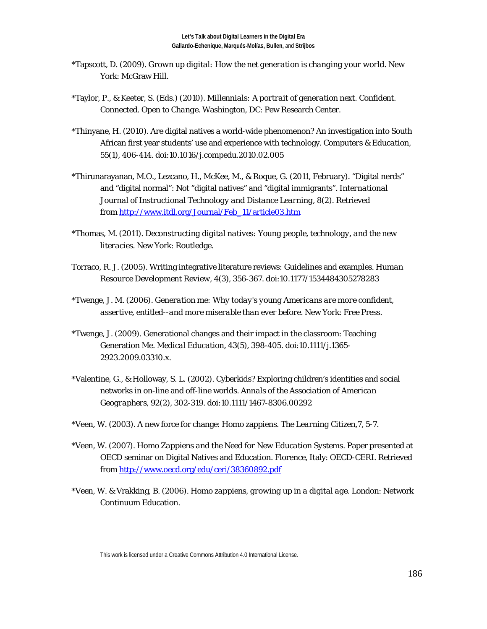- \*Tapscott, D. (2009). *Grown up digital: How the net generation is changing your world*. New York: McGraw Hill.
- \*Taylor, P., & Keeter, S. (Eds.) (2010). *Millennials: A portrait of generation next*. *Confident. Connected. Open to Change.* Washington, DC: Pew Research Center.
- \*Thinyane, H. (2010). Are digital natives a world-wide phenomenon? An investigation into South African first year students' use and experience with technology. *Computers & Education*, *55*(1), 406-414. doi:10.1016/j.compedu.2010.02.005
- \*Thirunarayanan, M.O., Lezcano, H., McKee, M., & Roque, G. (2011, February). "Digital nerds" and "digital normal": Not "digital natives" and "digital immigrants". *International Journal of Instructional Technology and Distance Learning*, *8*(2). Retrieved from [http://www.itdl.org/Journal/Feb\\_11/article03.htm](http://www.itdl.org/Journal/Feb_11/article03.htm)
- \*Thomas, M. (2011). *Deconstructing digital natives: Young people, technology, and the new literacies*. New York: Routledge.
- Torraco, R. J. (2005). Writing integrative literature reviews: Guidelines and examples. *Human Resource Development Review*, *4*(3), 356-367. doi:10.1177/1534484305278283
- \*Twenge, J. M. (2006). *Generation me: Why today's young Americans are more confident, assertive, entitled--and more miserable than ever before*. New York: Free Press.
- \*Twenge, J. (2009). Generational changes and their impact in the classroom: Teaching Generation Me. *Medical Education*, *43*(5), 398-405. doi:10.1111/j.1365- 2923.2009.03310.x.
- \*Valentine, G., & Holloway, S. L. (2002). Cyberkids? Exploring children's identities and social networks in on-line and off-line worlds. *Annals of the Association of American Geographers*, *92*(2), 302-319. doi:10.1111/1467-8306.00292
- \*Veen, W. (2003). A new force for change: Homo zappiens. *The Learning Citizen*,7, 5-7.
- \*Veen, W. (2007). *Homo Zappiens and the Need for New Education Systems*. Paper presented at OECD seminar on Digital Natives and Education. Florence, Italy: OECD-CERI. Retrieved from<http://www.oecd.org/edu/ceri/38360892.pdf>
- \*Veen, W. & Vrakking, B. (2006). *Homo zappiens, growing up in a digital age*. London: Network Continuum Education.